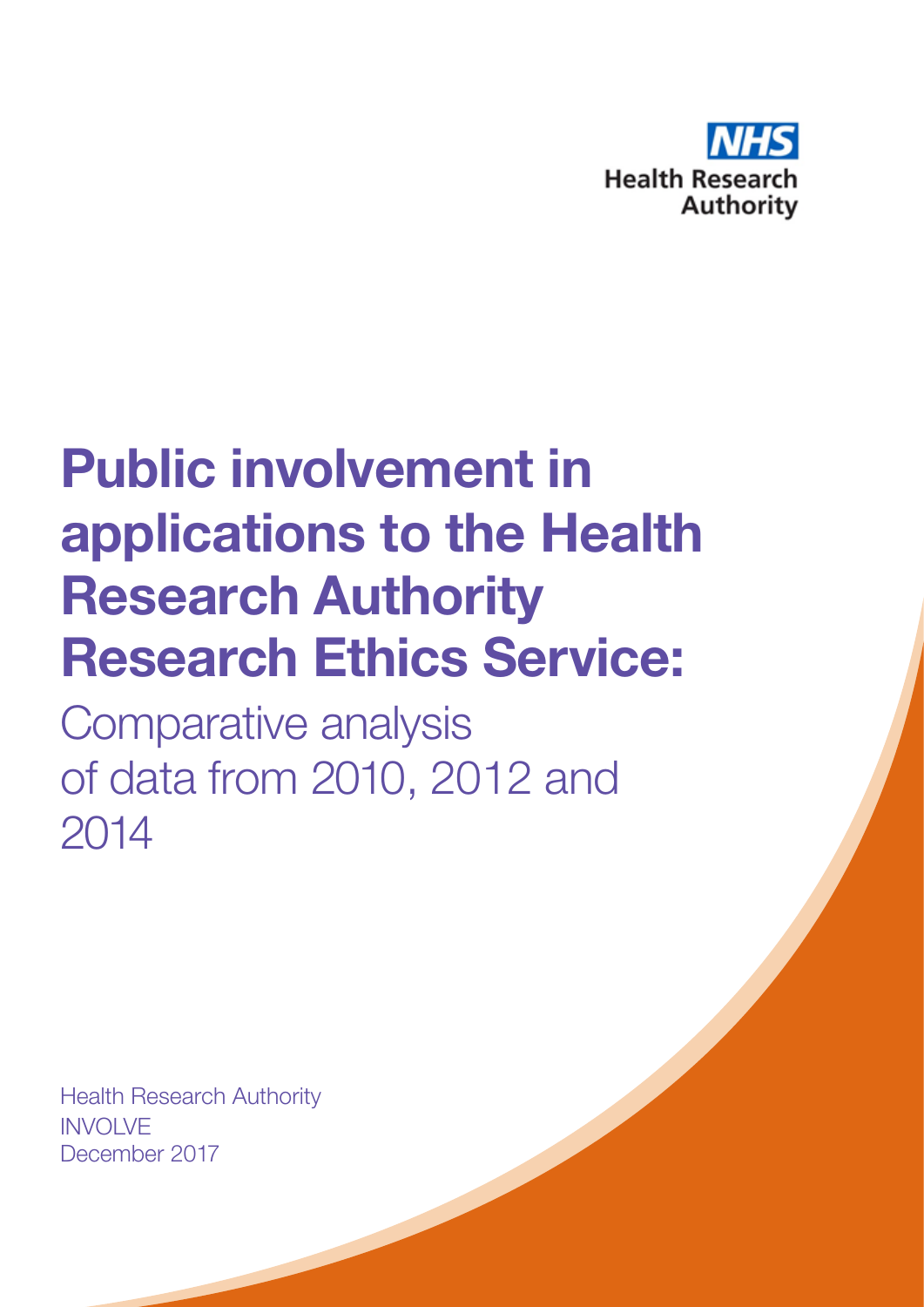

## **Public involvement in applications to the** Health Research Authority **Research Ethics Service:**

Comparative analysis of data from 2010, 2012 and 2014

Health Research Authority INVOLVE December 2017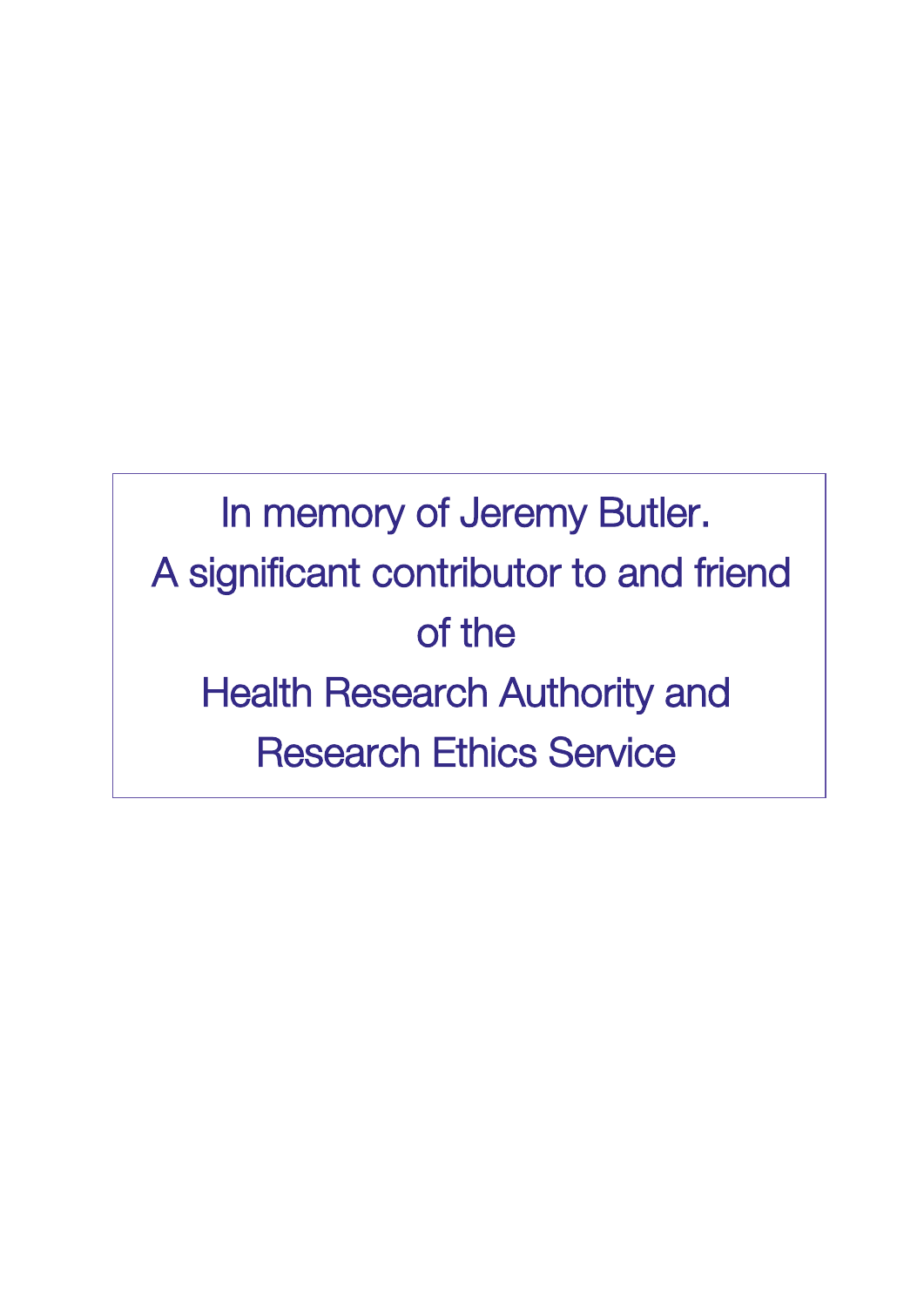## In memory of Jeremy Butler. A significant contributor to and friend of the Health Research Authority and Research Ethics Service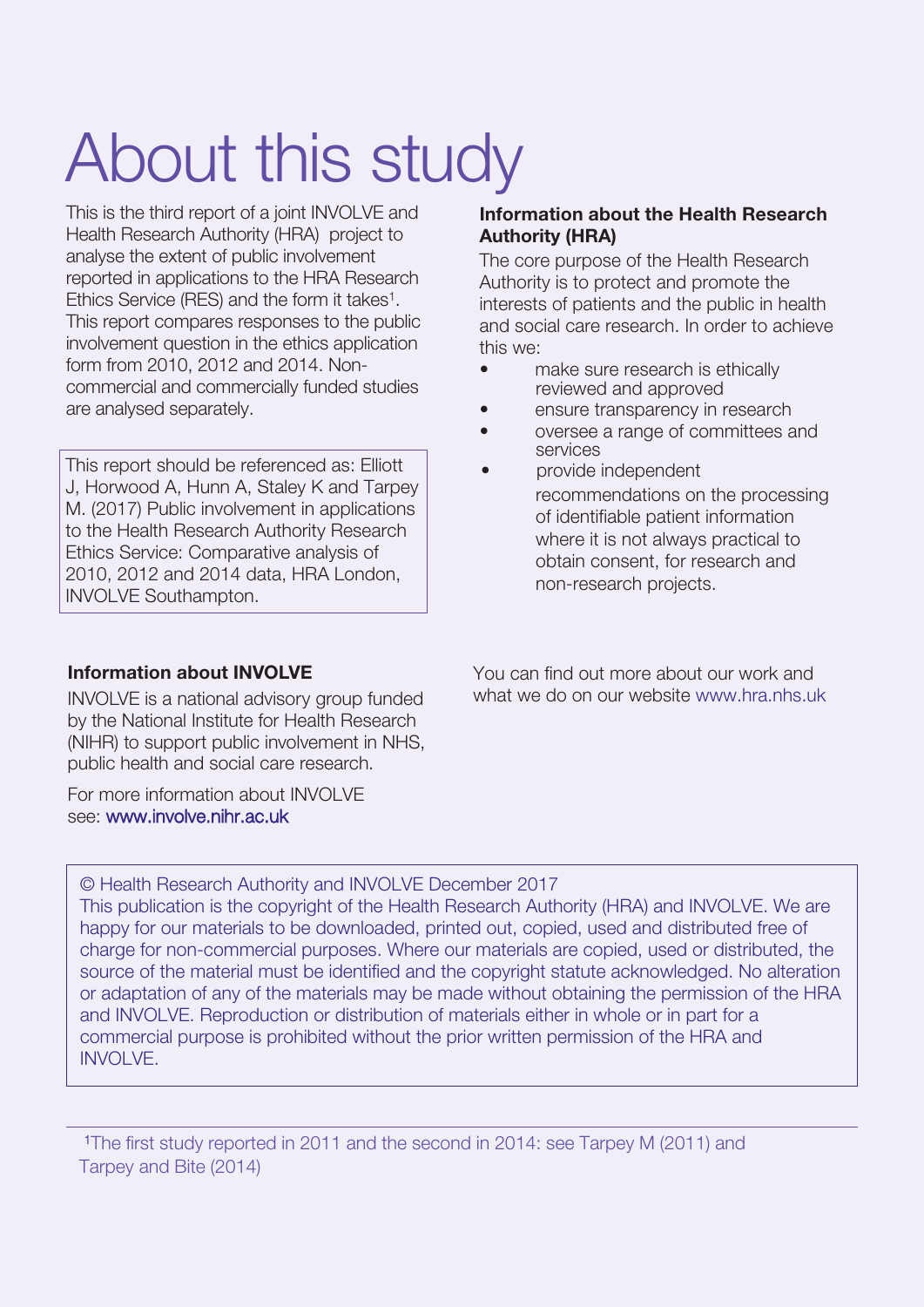# About this study

This is the third report of a joint INVOLVE and Health Research Authority (HRA) project to analyse the extent of public involvement reported in applications to the HRA Research Ethics Service (RES) and the form it takes<sup>1</sup>. This report compares responses to the public involvement question in the ethics application form from 2010, 2012 and 2014. Noncommercial and commercially funded studies are analysed separately.

This report should be referenced as: Elliott J, Horwood A, Hunn A, Staley K and Tarpey M. (2017) Public involvement in applications to the Health Research Authority Research Ethics Service: Comparative analysis of 2010, 2012 and 2014 data, HRA London, INVOLVE Southampton.

### **Information about the Health Research Authority (HRA)**

The core purpose of the Health Research Authority is to protect and promote the interests of patients and the public in health and social care research. In order to achieve this we:

- make sure research is ethically reviewed and approved
- ensure transparency in research
- oversee a range of committees and services
- provide independent recommendations on the processing of identifiable patient information where it is not always practical to obtain consent, for research and non-research projects.

### **Information about INVOLVE**

INVOLVE is a national advisory group funded by the National Institute for Health Research (NIHR) to support public involvement in NHS, public health and social care research.

For more information about INVOLVE see: [www.involve.nihr.ac.uk](http://www.involve.nihr.ac.uk)

You can find out more about our work and what we do on our website [www.hra.nhs.uk](http://www.hra.nhs.uk)

© Health Research Authority and INVOLVE December 2017

This publication is the copyright of the Health Research Authority (HRA) and INVOLVE. We are happy for our materials to be downloaded, printed out, copied, used and distributed free of charge for non-commercial purposes. Where our materials are copied, used or distributed, the source of the material must be identified and the copyright statute acknowledged. No alteration or adaptation of any of the materials may be made without obtaining the permission of the HRA and INVOLVE. Reproduction or distribution of materials either in whole or in part for a commercial purpose is prohibited without the prior written permission of the HRA and INVOLVE.

 <sup>1</sup>The first study reported in 2011 and the second in 2014: see Tarpey M (2011) and Tarpey and Bite (2014)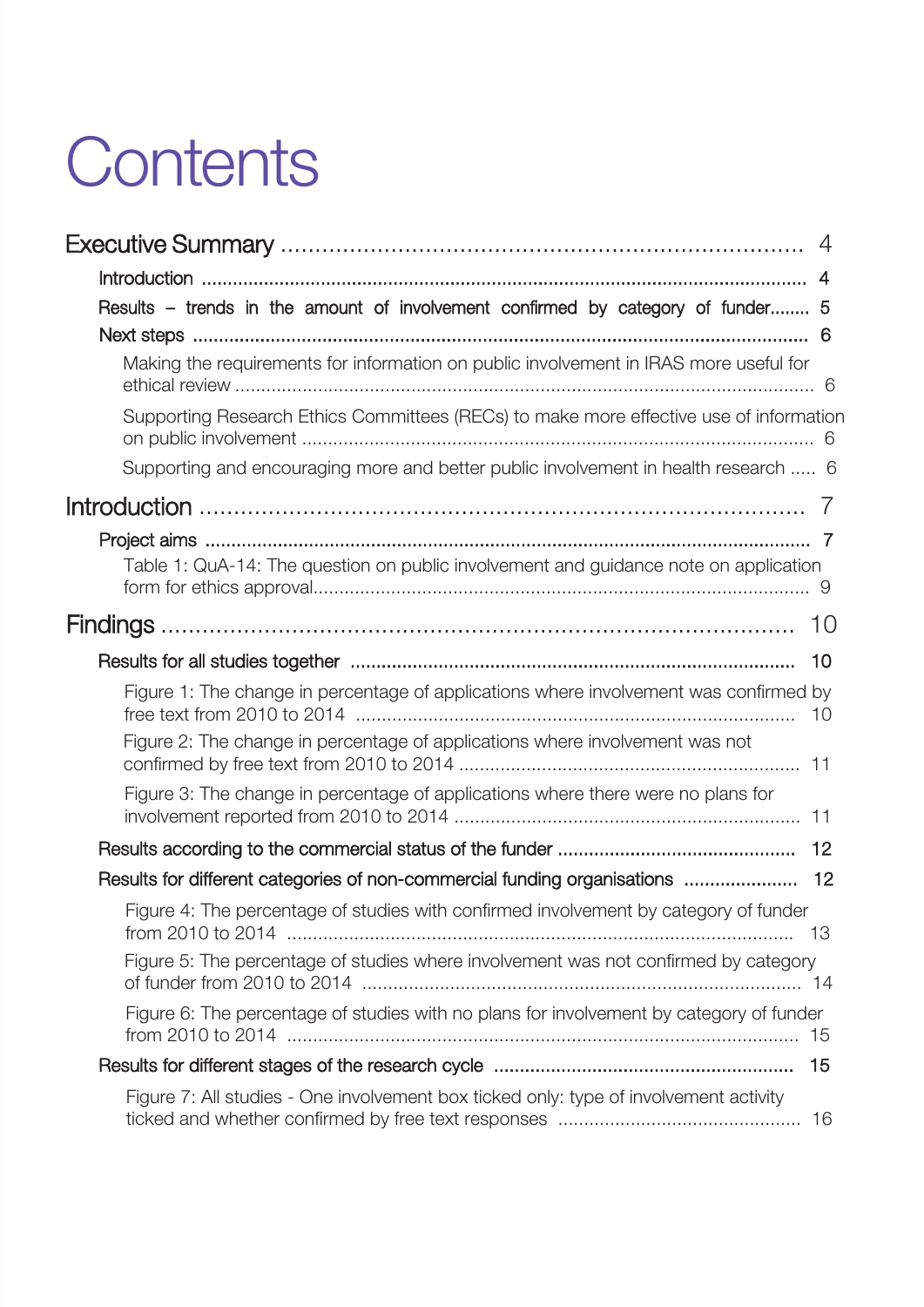# **Contents**

| 4                                                                                            |
|----------------------------------------------------------------------------------------------|
|                                                                                              |
| Results - trends in the amount of involvement confirmed by category of funder 5              |
|                                                                                              |
| Making the requirements for information on public involvement in IRAS more useful for        |
| Supporting Research Ethics Committees (RECs) to make more effective use of information       |
| Supporting and encouraging more and better public involvement in health research  6          |
|                                                                                              |
| Table 1: QuA-14: The question on public involvement and guidance note on application         |
|                                                                                              |
|                                                                                              |
| Figure 1: The change in percentage of applications where involvement was confirmed by<br>10  |
| Figure 2: The change in percentage of applications where involvement was not                 |
| Figure 3: The change in percentage of applications where there were no plans for             |
|                                                                                              |
| Results for different categories of non-commercial funding organisations  12                 |
| Figure 4: The percentage of studies with confirmed involvement by category of funder<br>- 13 |
| Figure 5: The percentage of studies where involvement was not confirmed by category          |
| Figure 6: The percentage of studies with no plans for involvement by category of funder      |
| 15                                                                                           |
| Figure 7: All studies - One involvement box ticked only: type of involvement activity        |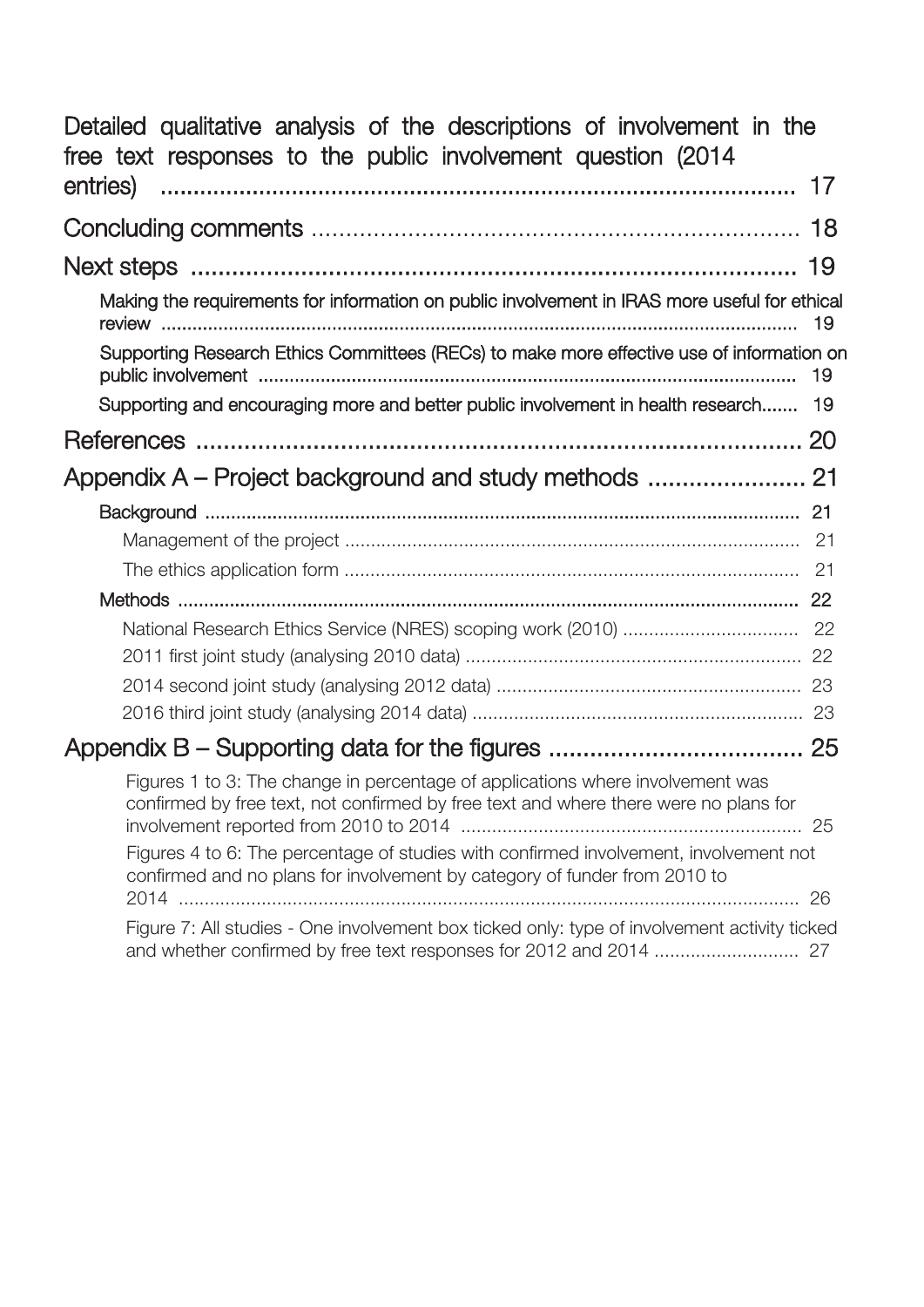| Detailed qualitative analysis of the descriptions of involvement in the<br>free text responses to the public involvement question (2014)                               |
|------------------------------------------------------------------------------------------------------------------------------------------------------------------------|
|                                                                                                                                                                        |
|                                                                                                                                                                        |
|                                                                                                                                                                        |
| Making the requirements for information on public involvement in IRAS more useful for ethical                                                                          |
| Supporting Research Ethics Committees (RECs) to make more effective use of information on<br>-19                                                                       |
| Supporting and encouraging more and better public involvement in health research 19                                                                                    |
|                                                                                                                                                                        |
|                                                                                                                                                                        |
|                                                                                                                                                                        |
|                                                                                                                                                                        |
|                                                                                                                                                                        |
|                                                                                                                                                                        |
|                                                                                                                                                                        |
|                                                                                                                                                                        |
|                                                                                                                                                                        |
|                                                                                                                                                                        |
|                                                                                                                                                                        |
| Figures 1 to 3: The change in percentage of applications where involvement was<br>confirmed by free text, not confirmed by free text and where there were no plans for |
| Figures 4 to 6: The percentage of studies with confirmed involvement, involvement not<br>confirmed and no plans for involvement by category of funder from 2010 to     |
| Figure 7: All studies - One involvement box ticked only: type of involvement activity ticked                                                                           |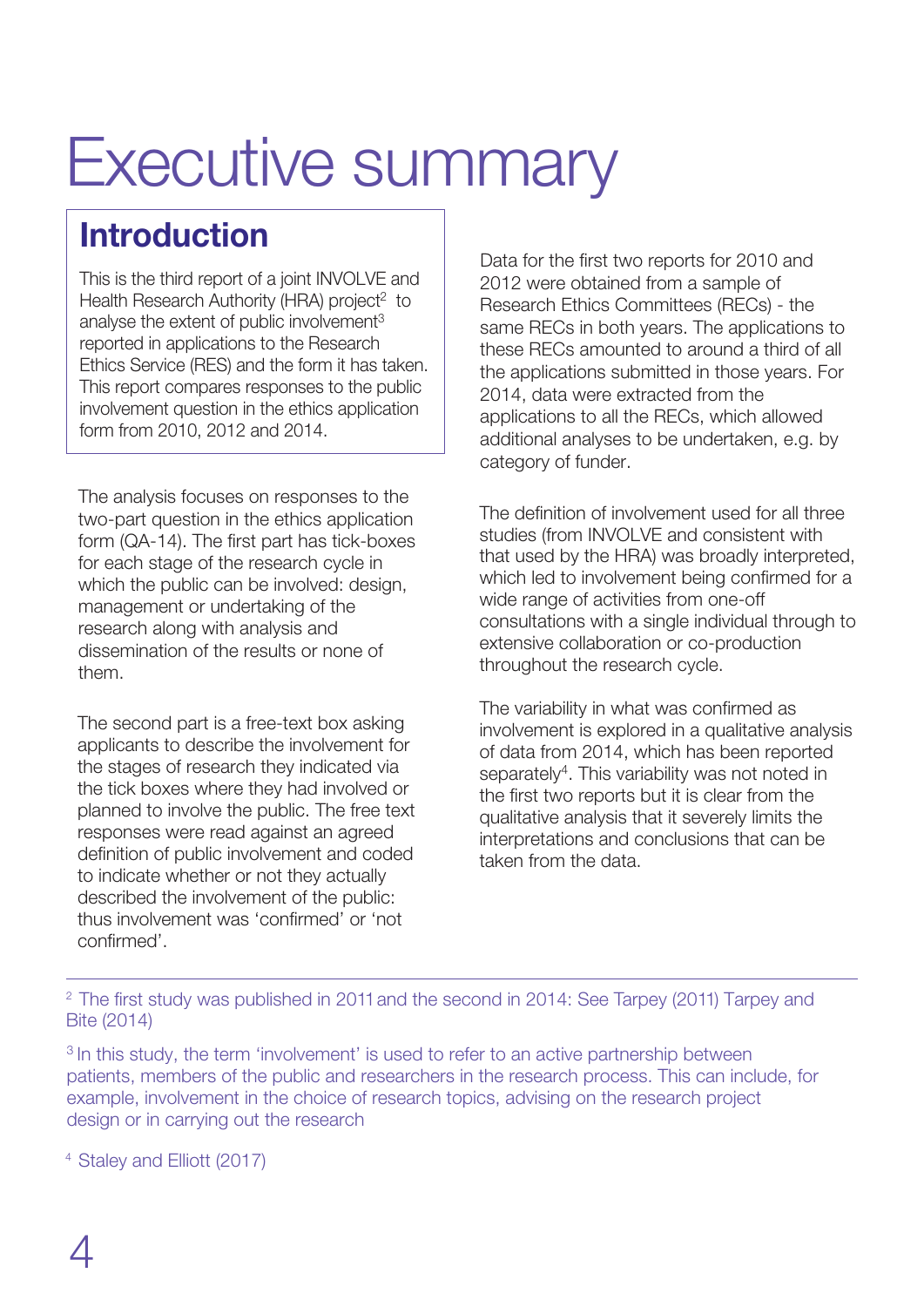## Executive summary

## Introduction

This is the third report of a joint INVOLVE and Health Research Authority (HRA) project<sup>2</sup> to analyse the extent of public involvement<sup>3</sup> reported in applications to the Research Ethics Service (RES) and the form it has taken. This report compares responses to the public involvement question in the ethics application form from 2010, 2012 and 2014.

The analysis focuses on responses to the two-part question in the ethics application form (QA-14). The first part has tick-boxes for each stage of the research cycle in which the public can be involved: design, management or undertaking of the research along with analysis and dissemination of the results or none of them.

The second part is a free-text box asking applicants to describe the involvement for the stages of research they indicated via the tick boxes where they had involved or planned to involve the public. The free text responses were read against an agreed definition of public involvement and coded to indicate whether or not they actually described the involvement of the public: thus involvement was 'confirmed' or 'not confirmed'.

Data for the first two reports for 2010 and 2012 were obtained from a sample of Research Ethics Committees (RECs) - the same RECs in both years. The applications to these RECs amounted to around a third of all the applications submitted in those years. For 2014, data were extracted from the applications to all the RECs, which allowed additional analyses to be undertaken, e.g. by category of funder.

The definition of involvement used for all three studies (from INVOLVE and consistent with that used by the HRA) was broadly interpreted, which led to involvement being confirmed for a wide range of activities from one-off consultations with a single individual through to extensive collaboration or co-production throughout the research cycle.

The variability in what was confirmed as involvement is explored in a qualitative analysis of data from 2014, which has been reported separately<sup>4</sup>. This variability was not noted in the first two reports but it is clear from the qualitative analysis that it severely limits the interpretations and conclusions that can be taken from the data.

<sup>2</sup> [The first study was published in 2011](http://www.invo.org.uk/posttypepublication/public-involvement-in-research-applications-to-the-national-research-ethics-service-nres/) and the second in 2014: See Tarpey (2011) Tarpey and B[ite \(2014\)](http://www.invo.org.uk/posttypepublication/public-involvement-in-research-applications-to-the-national-research-ethics-service-nres/) 

<sup>3</sup> In this study, the term 'involvement' is used to refer to an active partnership between patients, members of the public and researchers in the research process. This can include, for example, involvement in the choice of research topics, advising on the research project design or in carrying out the research

<sup>4</sup> Staley and Elliott (2017)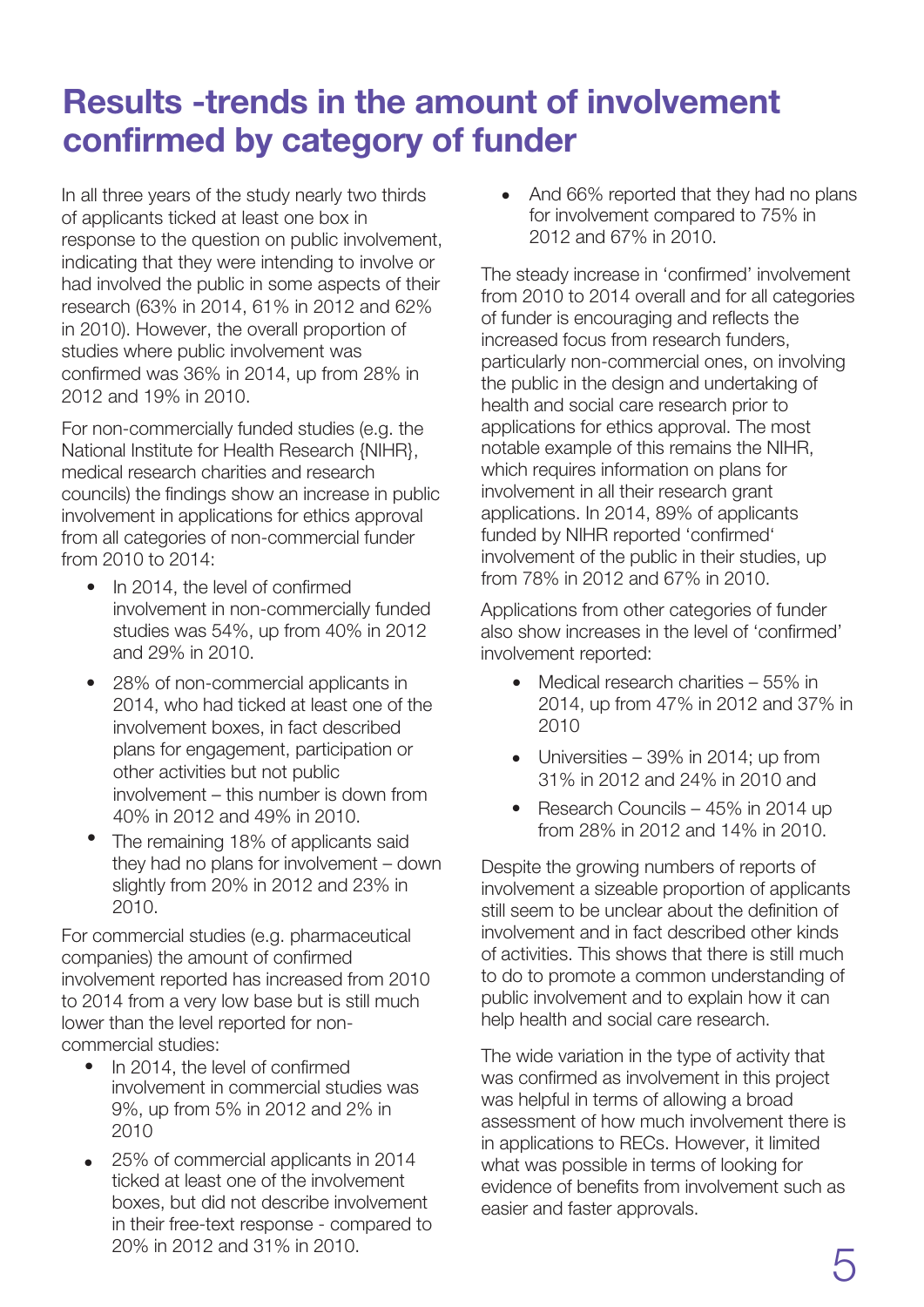## **Res**ults -trends in the amount of involvement confirmed by category of funder

In all three years of the study nearly two thirds of applicants ticked at least one box in response to the question on public involvement, indicating that they were intending to involve or had involved the public in some aspects of their research (63% in 2014, 61% in 2012 and 62% in 2010). However, the overall proportion of studies where public involvement was confirmed was 36% in 2014, up from 28% in 2012 and 19% in 2010.

For non-commercially funded studies (e.g. the National Institute for Health Research {NIHR}, medical research charities and research councils) the findings show an increase in public involvement in applications for ethics approval from all categories of non-commercial funder from 2010 to 2014:

- In 2014, the level of confirmed involvement in non-commercially funded studies was 54%, up from 40% in 2012 and 29% in 2010.
- 28% of non-commercial applicants in 2014, who had ticked at least one of the involvement boxes, in fact described plans for engagement, participation or other activities but not public involvement – this number is down from 40% in 2012 and 49% in 2010.
- The remaining 18% of applicants said they had no plans for involvement – down slightly from 20% in 2012 and 23% in 2010.

For commercial studies (e.g. pharmaceutical companies) the amount of confirmed involvement reported has increased from 2010 to 2014 from a very low base but is still much lower than the level reported for noncommercial studies:

- In 2014, the level of confirmed involvement in commercial studies was 9%, up from 5% in 2012 and 2% in 2010
- 25% of commercial applicants in 2014 ticked at least one of the involvement boxes, but did not describe involvement in their free-text response - compared to 20% in 2012 and 31% in 2010.

• And 66% reported that they had no plans for involvement compared to 75% in 2012 and 67% in 2010.

The steady increase in 'confirmed' involvement from 2010 to 2014 overall and for all categories of funder is encouraging and reflects the increased focus from research funders, particularly non-commercial ones, on involving the public in the design and undertaking of health and social care research prior to applications for ethics approval. The most notable example of this remains the NIHR, which requires information on plans for involvement in all their research grant applications. In 2014, 89% of applicants funded by NIHR reported 'confirmed' involvement of the public in their studies, up from 78% in 2012 and 67% in 2010.

Applications from other categories of funder also show increases in the level of 'confirmed' involvement reported:

- Medical research charities 55% in 2014, up from 47% in 2012 and 37% in 2010
- Universities 39% in 2014; up from 31% in 2012 and 24% in 2010 and
- Research Councils 45% in 2014 up from 28% in 2012 and 14% in 2010.

Despite the growing numbers of reports of involvement a sizeable proportion of applicants still seem to be unclear about the definition of involvement and in fact described other kinds of activities. This shows that there is still much to do to promote a common understanding of public involvement and to explain how it can help health and social care research.

The wide variation in the type of activity that was confirmed as involvement in this project was helpful in terms of allowing a broad assessment of how much involvement there is in applications to RECs. However, it limited what was possible in terms of looking for evidence of benefits from involvement such as easier and faster approvals.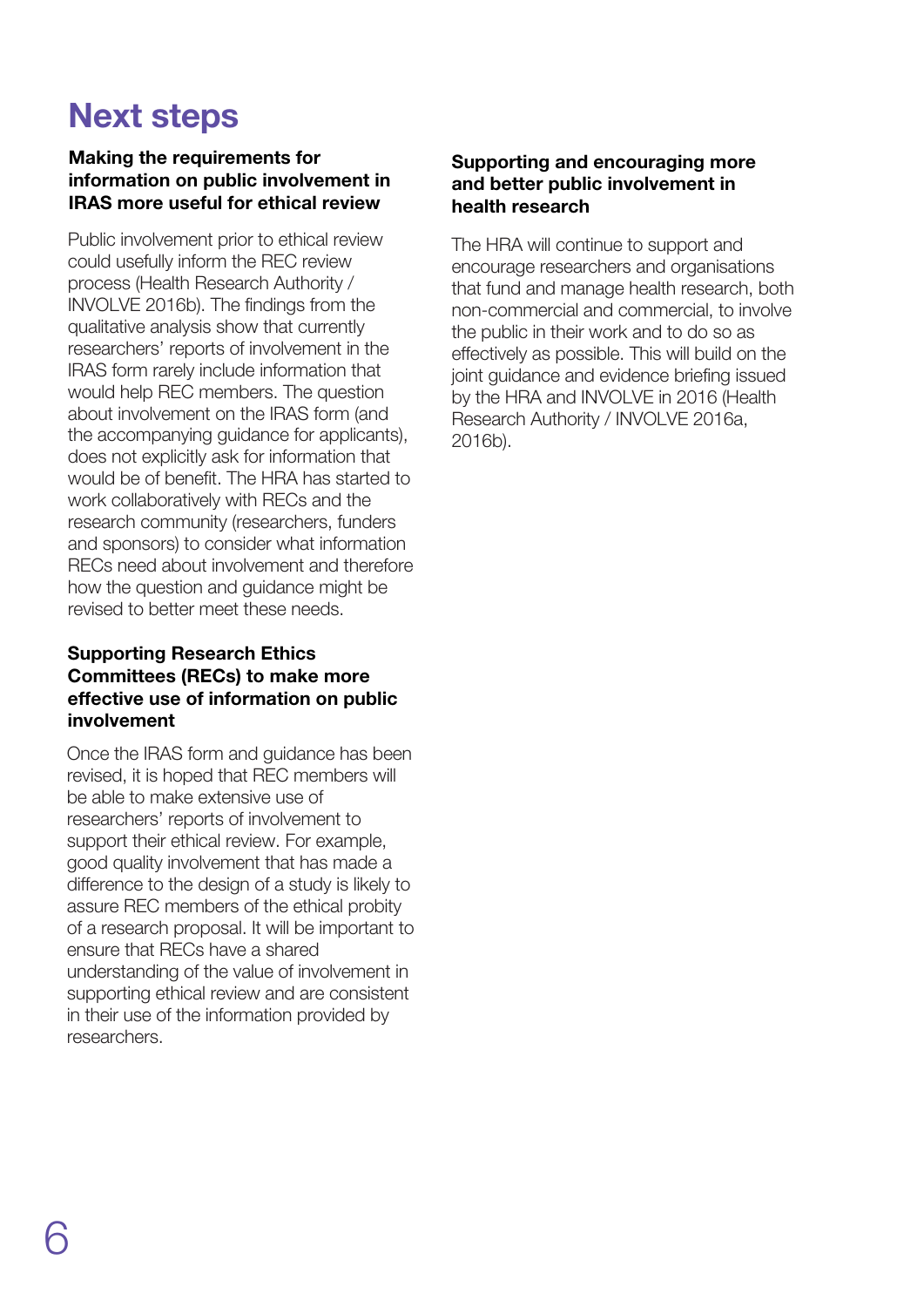## Next steps

### Making the requirements for information on public involvement in IRAS more useful for ethical review

Public involvement prior to ethical review could usefully inform the REC review process (Health Research Authority / INVOLVE 2016b). The findings from the qualitative analysis show that currently researchers' reports of involvement in the IRAS form rarely include information that would help REC members. The question about involvement on the IRAS form (and the accompanying guidance for applicants), does not explicitly ask for information that would be of benefit. The HRA has started to work collaboratively with RECs and the research community (researchers, funders and sponsors) to consider what information RECs need about involvement and therefore how the question and guidance might be revised to better meet these needs.

### Supporting Research Ethics Committees (RECs) to make more effective use of information on public involvement

Once the IRAS form and guidance has been revised, it is hoped that REC members will be able to make extensive use of researchers' reports of involvement to support their ethical review. For example, good quality involvement that has made a difference to the design of a study is likely to assure REC members of the ethical probity of a research proposal. It will be important to ensure that RECs have a shared understanding of the value of involvement in supporting ethical review and are consistent in their use of the information provided by researchers.

#### Supporting and encouraging more and better public involvement in health research

The HRA will continue to support and encourage researchers and organisations that fund and manage health research, both non-commercial and commercial, to involve the public in their work and to do so as effectively as possible. This will build on the joint guidance and evidence briefing issued by the HRA and INVOLVE in 2016 (Health Research Authority / INVOLVE 2016a, 2016b).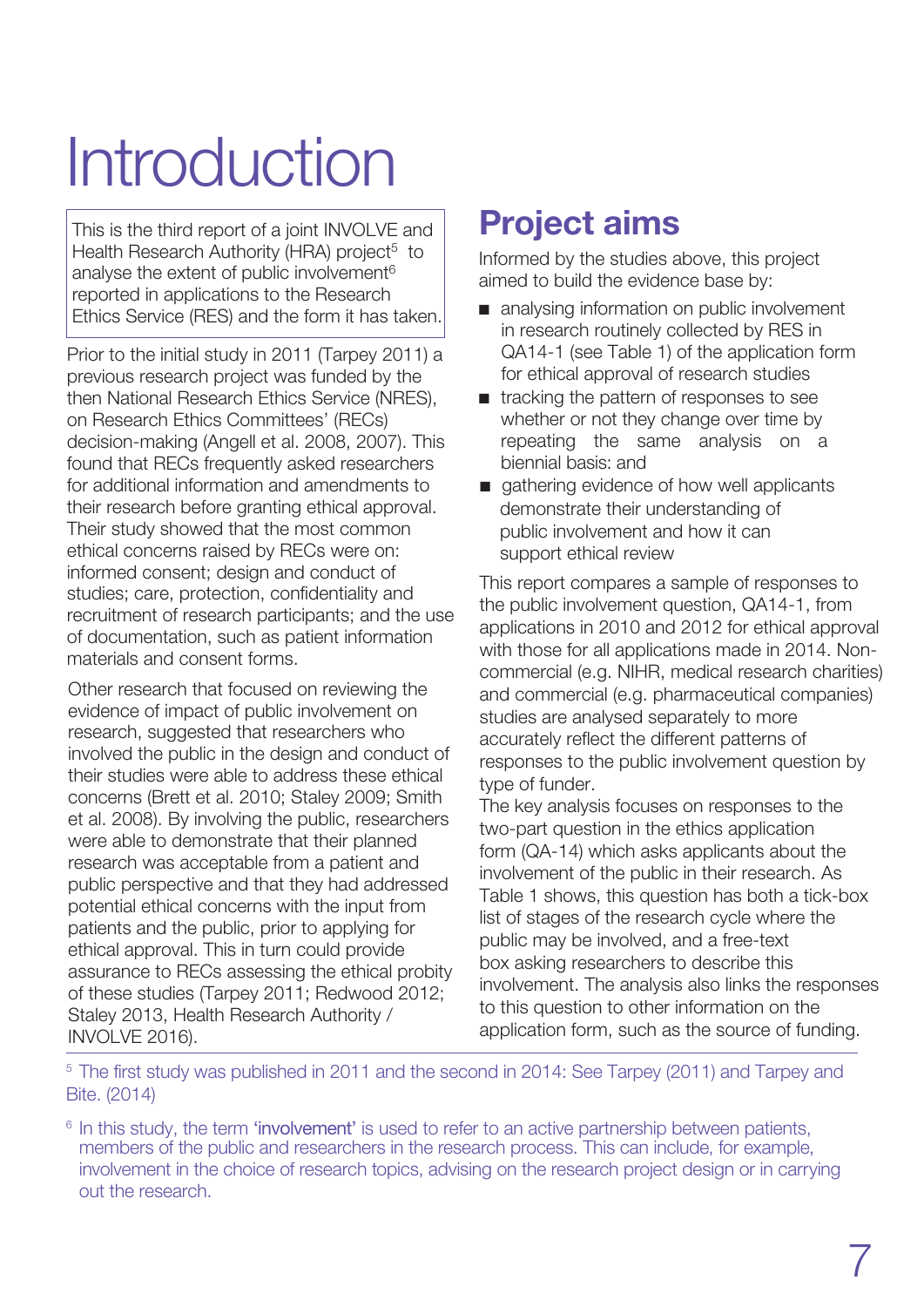# Introduction

This is the third report of a joint INVOLVE and Health Research Authority (HRA) project<sup>5</sup> to analyse the extent of public involvement $6$ reported in applications to the Research Ethics Service (RES) and the form it has taken.

Prior to the initial study in 2011 (Tarpey 2011) a previous research project was funded by the then National Research Ethics Service (NRES), on Research Ethics Committees' (RECs) decision-making (Angell et al. 2008, 2007). This found that RECs frequently asked researchers for additional information and amendments to their research before granting ethical approval. Their study showed that the most common ethical concerns raised by RECs were on: informed consent; design and conduct of studies; care, protection, confidentiality and recruitment of research participants; and the use of documentation, such as patient information materials and consent forms.

Other research that focused on reviewing the evidence of impact of public involvement on research, suggested that researchers who involved the public in the design and conduct of their studies were able to address these ethical concerns (Brett et al. 2010; Staley 2009; Smith et al. 2008). By involving the public, researchers were able to demonstrate that their planned research was acceptable from a patient and public perspective and that they had addressed potential ethical concerns with the input from patients and the public, prior to applying for ethical approval. This in turn could provide assurance to RECs assessing the ethical probity of these studies (Tarpey 2011; Redwood 2012; Staley 2013, Health Research Authority / INVOLVE 2016).

## **Project aims**

Informed by the studies above, this project aimed to build the evidence base by:

- $\blacksquare$  analysing information on public involvement in research routinely collected by RES in QA14-1 (see Table 1) of the application form for ethical approval of research studies
- $\blacksquare$  tracking the pattern of responses to see whether or not they change over time by repeating the same analysis on a biennial basis: and
- $\Box$  gathering evidence of how well applicants demonstrate their understanding of public involvement and how it can support ethical review

This report compares a sample of responses to the public involvement question, QA14-1, from applications in 2010 and 2012 for ethical approval with those for all applications made in 2014. Noncommercial (e.g. NIHR, medical research charities) and commercial (e.g. pharmaceutical companies) studies are analysed separately to more accurately reflect the different patterns of responses to the public involvement question by type of funder.

The key analysis focuses on responses to the two-part question in the ethics application form (QA-14) which asks applicants about the involvement of the public in their research. As Table 1 shows, this question has both a tick-box list of stages of the research cycle where the public may be involved, and a free-text box asking researchers to describe this involvement. The analysis also links the responses to this question to other information on the application form, such as the source of funding.

<sup>5</sup> [The first study was published in 2011 and the second in 2014: See Tarpey \(2011\) and Tarpey and](http://www.invo.org.uk/posttypepublication/public-involvement-in-research-applications-to-the-national-research-ethics-service-nres/) B[ite. \(2014\)](http://www.invo.org.uk/posttypepublication/public-involvement-in-research-applications-to-the-national-research-ethics-service-nres/) 

 $6$  In this study, the term 'involvement' is used to refer to an active partnership between patients,  $\,$ members of the public and researchers in the research process. This can include, for example, involvement in the choice of research topics, advising on the research project design or in carrying out the research.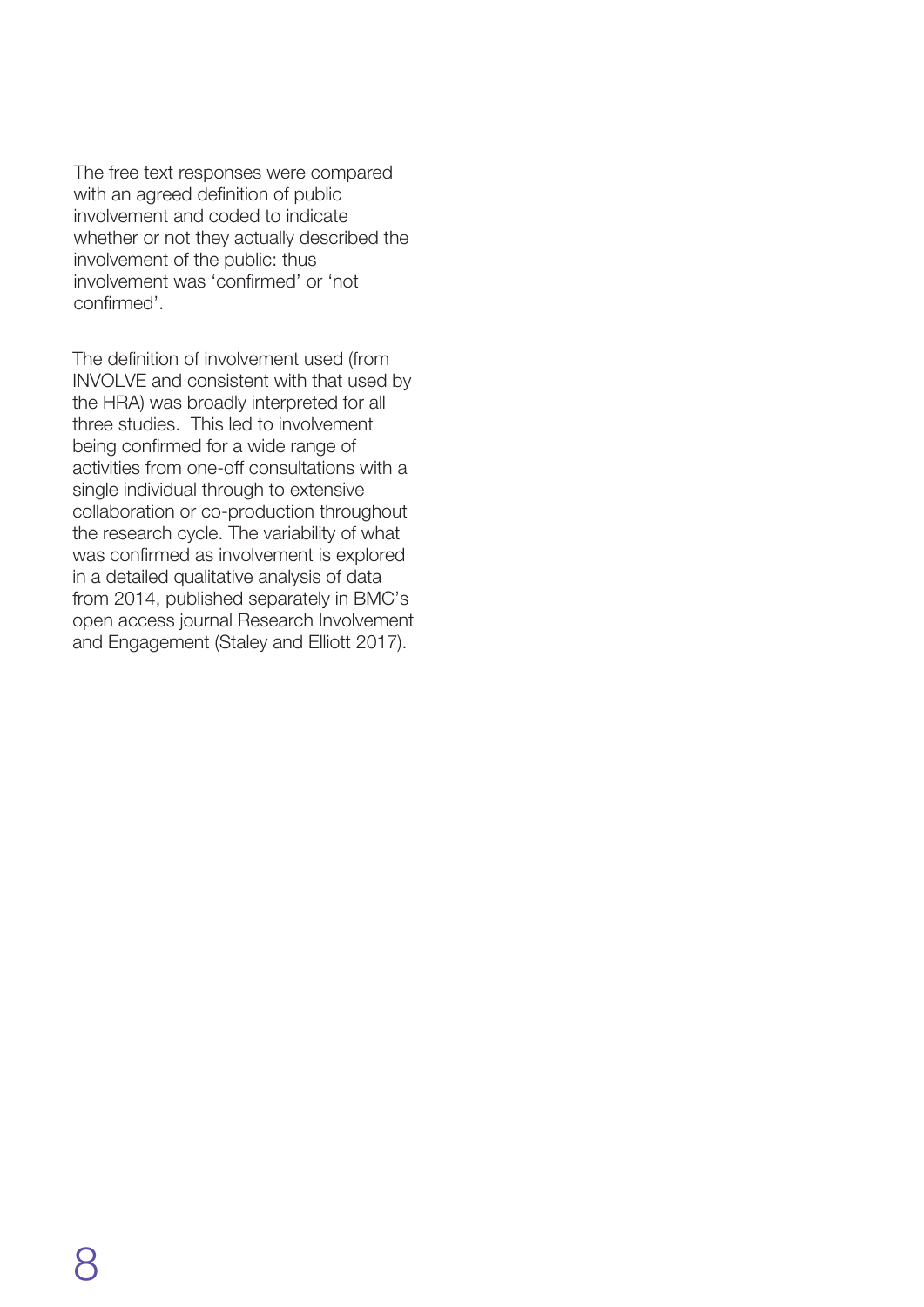The free text responses were compared with an agreed definition of public involvement and coded to indicate whether or not they actually described the involvement of the public: thus involvement was 'confirmed' or 'not confirmed'.

The definition of involvement used (from INVOLVE and consistent with that used by the HRA) was broadly interpreted for all three studies. This led to involvement being confirmed for a wide range of activities from one-off consultations with a single individual through to extensive collaboration or co-production throughout the research cycle. The variability of what was confirmed as involvement is explored in a detailed qualitative analysis of data from 2014, published separately in BMC's open access journal Research Involvement and Engagement (Staley and Elliott 2017).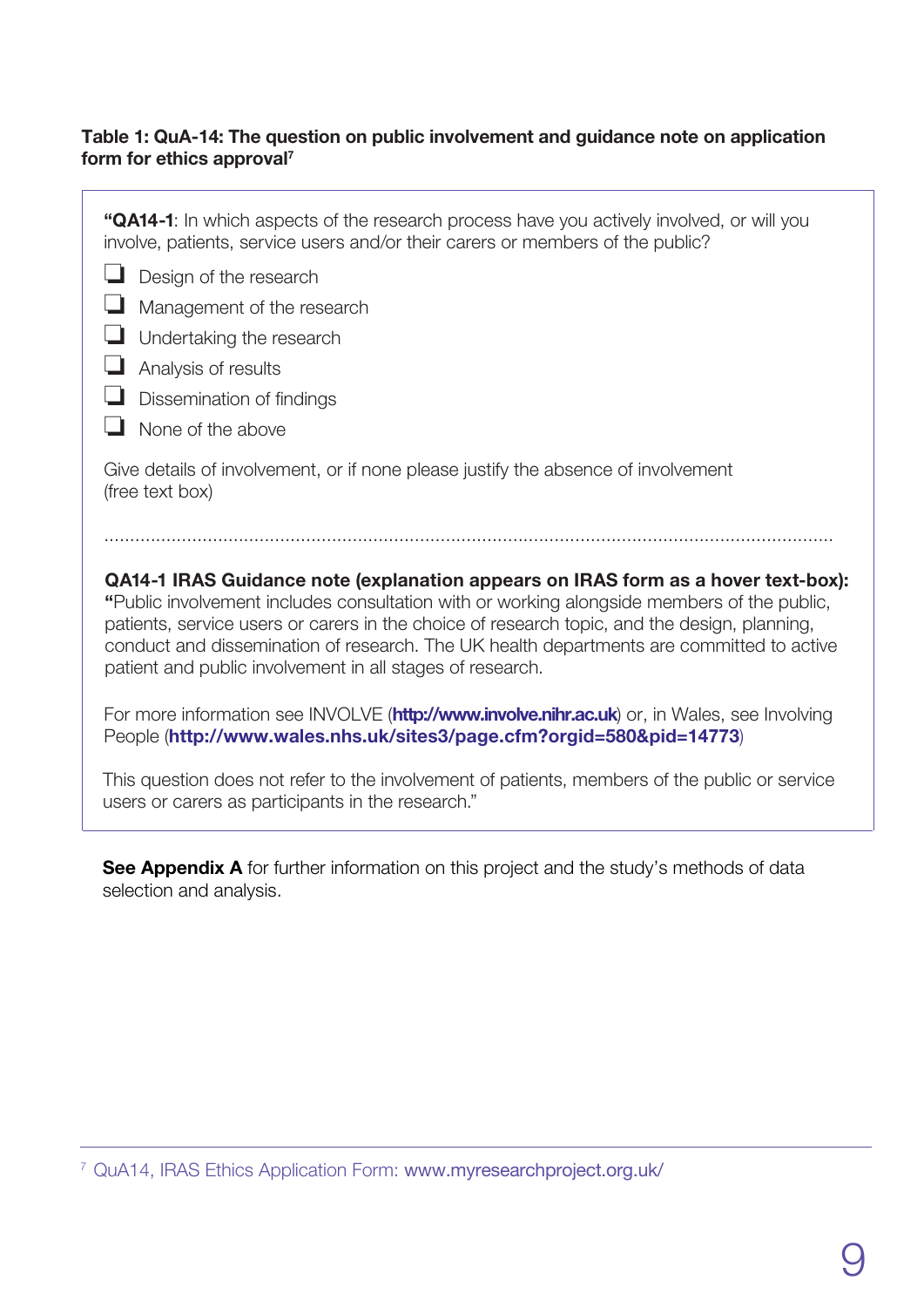### Table 1: QuA-14: The question on public involvement and guidance note on application form for ethics approval**<sup>7</sup>**

**"QA14-1**: In which aspects of the research process have you actively involved, or will you involve, patients, service users and/or their carers or members of the public? ❏ Design of the research ❏ Management of the research ❏ Undertaking the research ❏ Analysis of results ❏ Dissemination of findings ❏ None of the above Give details of involvement, or if none please justify the absence of involvement (free text box) ............................................................................................................................................. **QA14-1 IRAS Guidance note (explanation appears on IRAS form as a hover text-box): "**Public involvement includes consultation with or working alongside members of the public,

patients, service users or carers in the choice of research topic, and the design, planning, conduct and dissemination of research. The UK health departments are committed to active patient and public involvement in all stages of research.

For more information see INVOLVE (**<http://www.involve.nihr.ac.uk>**) or, in Wales, see Involving People (**http://w[ww.wales.nhs.uk/sites3/page.cfm?orgid=580&pid=14773](http://www.wales.nhs.uk/sites3/page.cfm?orgid=580&pid=14773))**)

This question does not refer to the involvement of patients, members of the public or service users or carers as participants in the research."

See Appendix A for further information on this project and the study's methods of data selection and analysis.

<sup>7</sup>QuA14, IRAS Ethics Application Form: www.myresearchproject.org.uk/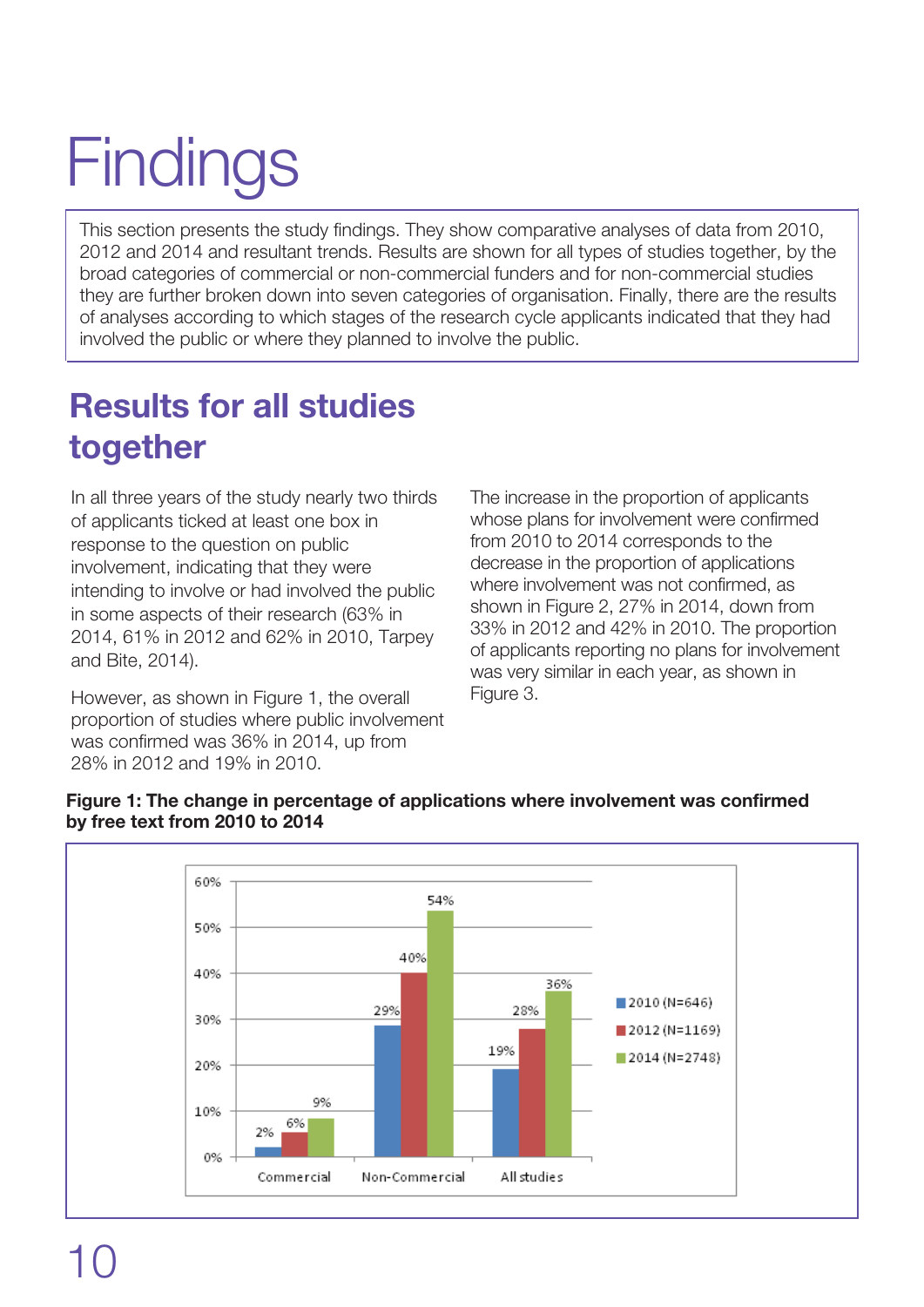# **Findings**

This section presents the study findings. They show comparative analyses of data from 2010, 2012 and 2014 and resultant trends. Results are shown for all types of studies together, by the broad categories of commercial or non-commercial funders and for non-commercial studies they are further broken down into seven categories of organisation. Finally, there are the results of analyses according to which stages of the research cycle applicants indicated that they had involved the public or where they planned to involve the public.

## Results for all studies together

In all three years of the study nearly two thirds of applicants ticked at least one box in response to the question on public involvement, indicating that they were intending to involve or had involved the public in some aspects of their research (63% in 2014, 61% in 2012 and 62% in 2010, Tarpey and Bite, 2014).

However, as shown in Figure 1, the overall proportion of studies where public involvement was confirmed was 36% in 2014, up from 28% in 2012 and 19% in 2010.

The increase in the proportion of applicants whose plans for involvement were confirmed from 2010 to 2014 corresponds to the decrease in the proportion of applications where involvement was not confirmed, as shown in Figure 2, 27% in 2014, down from 33% in 2012 and 42% in 2010. The proportion of applicants reporting no plans for involvement was very similar in each year, as shown in Figure 3.

#### **Figure 1:** The change in percentage of applications where involvement was confirmed by free text from 2010 to 2014

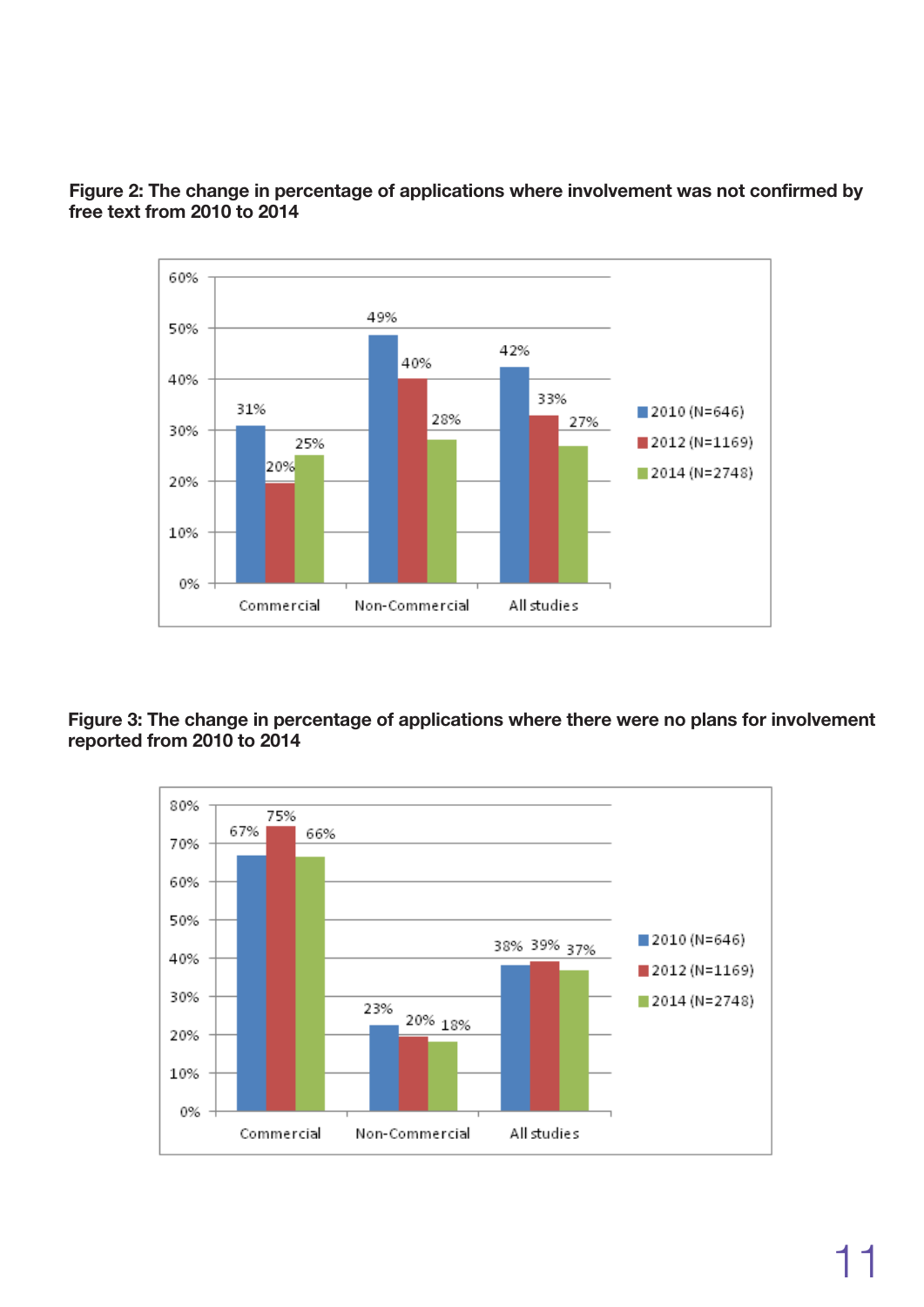

**Figure 2:** The change in percentage of applications where involvement was not confirmed by free text from 2010 to 2014

**Figure 3:** The change in percentage of applications where there were no plans for involvement reported from 2010 to 2014

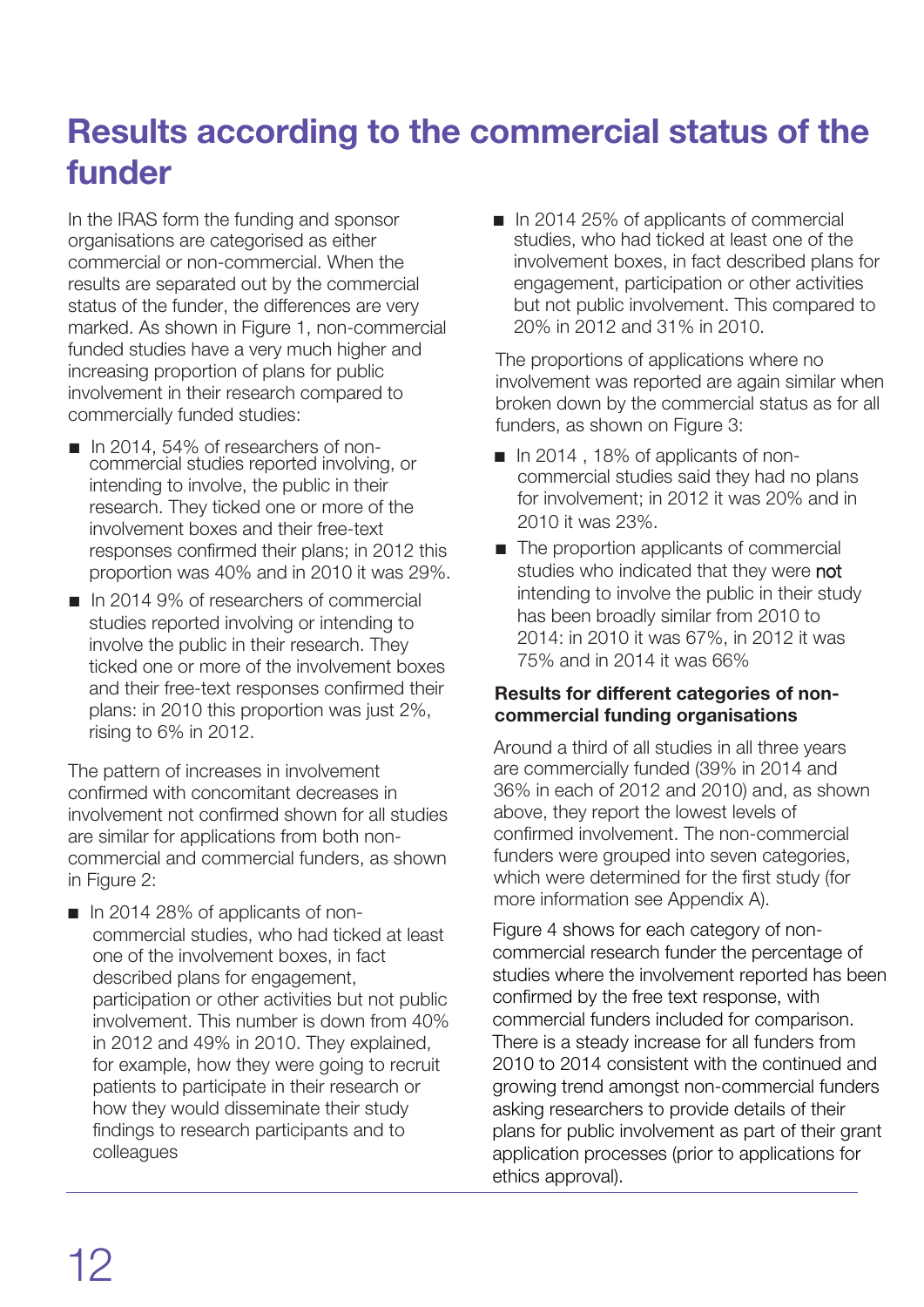## Results according to the commercial status of the funder

In the IRAS form the funding and sponsor organisations are categorised as either commercial or non-commercial. When the results are separated out by the commercial status of the funder, the differences are very marked. As shown in Figure 1, non-commercial funded studies have a very much higher and increasing proportion of plans for public involvement in their research compared to commercially funded studies:

- n In 2014, 54% of researchers of noncommercial studies reported involving, or intending to involve, the public in their research. They ticked one or more of the involvement boxes and their free-text responses confirmed their plans; in 2012 this proportion was 40% and in 2010 it was 29%.
- $\blacksquare$  In 2014 9% of researchers of commercial studies reported involving or intending to involve the public in their research. They ticked one or more of the involvement boxes and their free-text responses confirmed their plans: in 2010 this proportion was just 2%, rising to 6% in 2012.

The pattern of increases in involvement confirmed with concomitant decreases in involvement not confirmed shown for all studies are similar for applications from both noncommercial and commercial funders, as shown in Figure 2:

 $\blacksquare$  In 2014 28% of applicants of noncommercial studies, who had ticked at least one of the involvement boxes, in fact described plans for engagement, participation or other activities but not public involvement. This number is down from 40% in 2012 and 49% in 2010. They explained, for example, how they were going to recruit patients to participate in their research or how they would disseminate their study findings to research participants and to colleagues

 $\blacksquare$  In 2014 25% of applicants of commercial studies, who had ticked at least one of the involvement boxes, in fact described plans for engagement, participation or other activities but not public involvement. This compared to 20% in 2012 and 31% in 2010.

The proportions of applications where no involvement was reported are again similar when broken down by the commercial status as for all funders, as shown on Figure 3:

- $\blacksquare$  In 2014, 18% of applicants of noncommercial studies said they had no plans for involvement; in 2012 it was 20% and in 2010 it was 23%.
- $\blacksquare$  The proportion applicants of commercial studies who indicated that they were not intending to involve the public in their study has been broadly similar from 2010 to 2014: in 2010 it was 67%, in 2012 it was 75% and in 2014 it was 66%

### Results for different categories of noncommercial funding organisations

Around a third of all studies in all three years are commercially funded (39% in 2014 and 36% in each of 2012 and 2010) and, as shown above, they report the lowest levels of confirmed involvement. The non-commercial funders were grouped into seven categories, which were determined for the first study (for more information see Appendix A).

Figure 4 shows for each category of noncommercial research funder the percentage of studies where the involvement reported has been confirmed by the free text response, with commercial funders included for comparison. There is a steady increase for all funders from 2010 to 2014 consistent with the continued and growing trend amongst non-commercial funders asking researchers to provide details of their plans for public involvement as part of their grant application processes (prior to applications for ethics approval).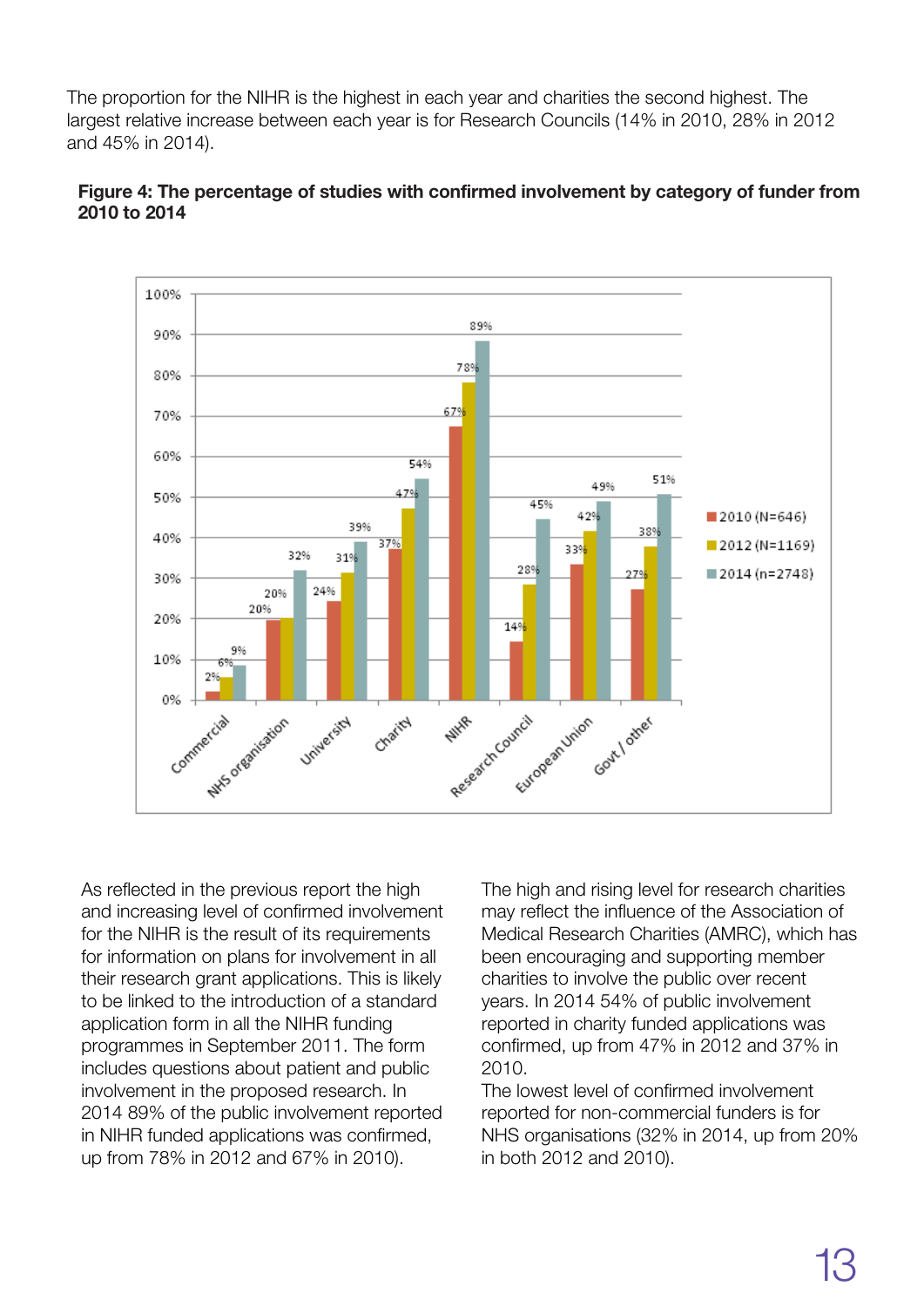The proportion for the NIHR is the highest in each year and charities the second highest. The largest relative increase between each year is for Research Councils (14% in 2010, 28% in 2012 and 45% in 2014).





As reflected in the previous report the high and increasing level of confirmed involvement for the NIHR is the result of its requirements for information on plans for involvement in all their research grant applications. This is likely to be linked to the introduction of a standard application form in all the NIHR funding programmes in September 2011. The form includes questions about patient and public involvement in the proposed research. In 2014 89% of the public involvement reported in NIHR funded applications was confirmed, up from 78% in 2012 and 67% in 2010).

The high and rising level for research charities may reflect the influence of the Association of Medical Research Charities (AMRC), which has been encouraging and supporting member charities to involve the public over recent years. In 2014 54% of public involvement reported in charity funded applications was confirmed, up from 47% in 2012 and 37% in 2010.

The lowest level of confirmed involvement reported for non-commercial funders is for NHS organisations (32% in 2014, up from 20% in both 2012 and 2010).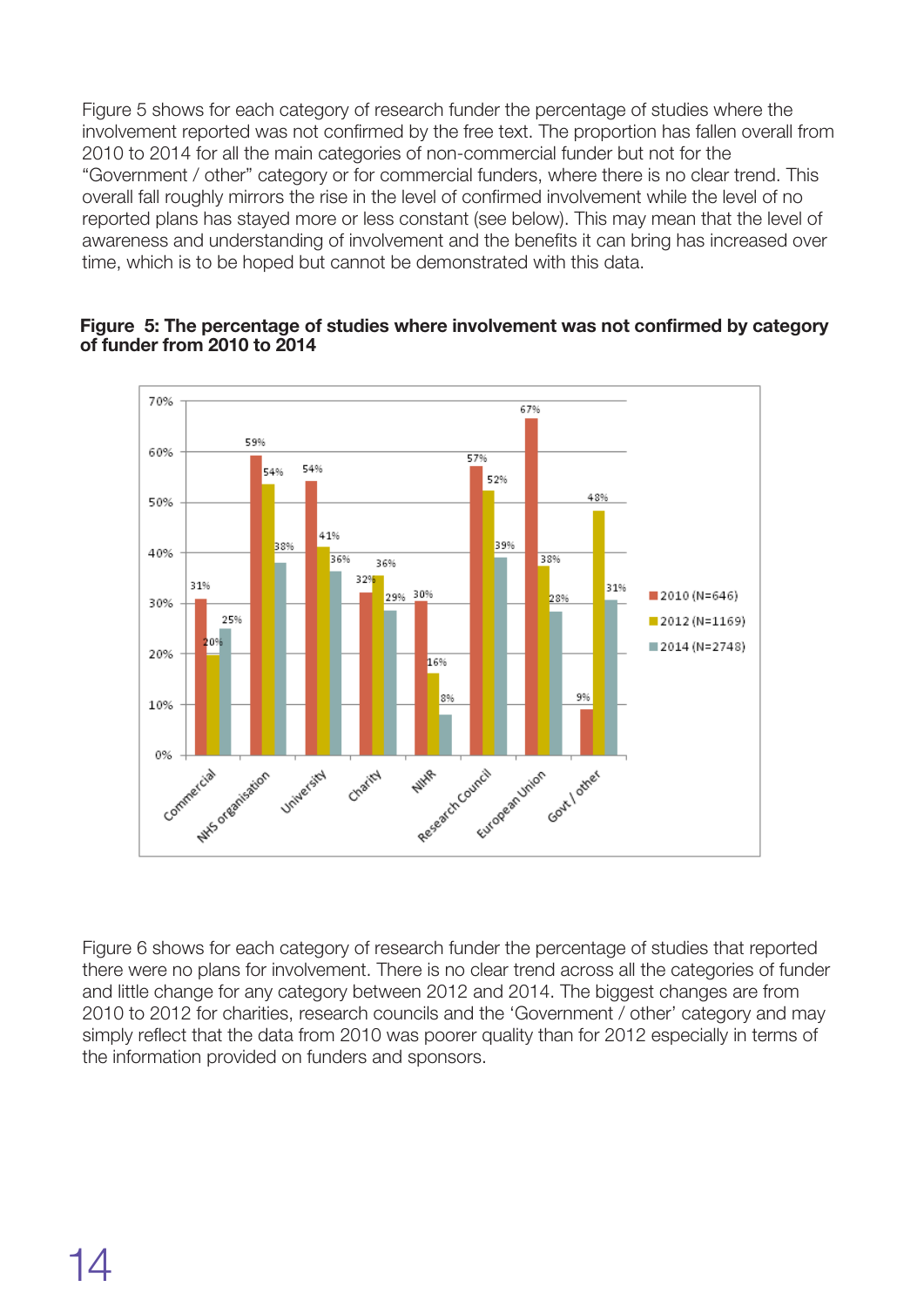Figure 5 shows for each category of research funder the percentage of studies where the involvement reported was not confirmed by the free text. The proportion has fallen overall from 2010 to 2014 for all the main categories of non-commercial funder but not for the "Government / other" category or for commercial funders, where there is no clear trend. This overall fall roughly mirrors the rise in the level of confirmed involvement while the level of no reported plans has stayed more or less constant (see below). This may mean that the level of awareness and understanding of involvement and the benefits it can bring has increased over time, which is to be hoped but cannot be demonstrated with this data.

#### **Figure** 5: The percentage of studies where involvement was not confirmed by category of funder from 2010 to 2014



Figure 6 shows for each category of research funder the percentage of studies that reported there were no plans for involvement. There is no clear trend across all the categories of funder and little change for any category between 2012 and 2014. The biggest changes are from 2010 to 2012 for charities, research councils and the 'Government / other' category and may simply reflect that the data from 2010 was poorer quality than for 2012 especially in terms of the information provided on funders and sponsors.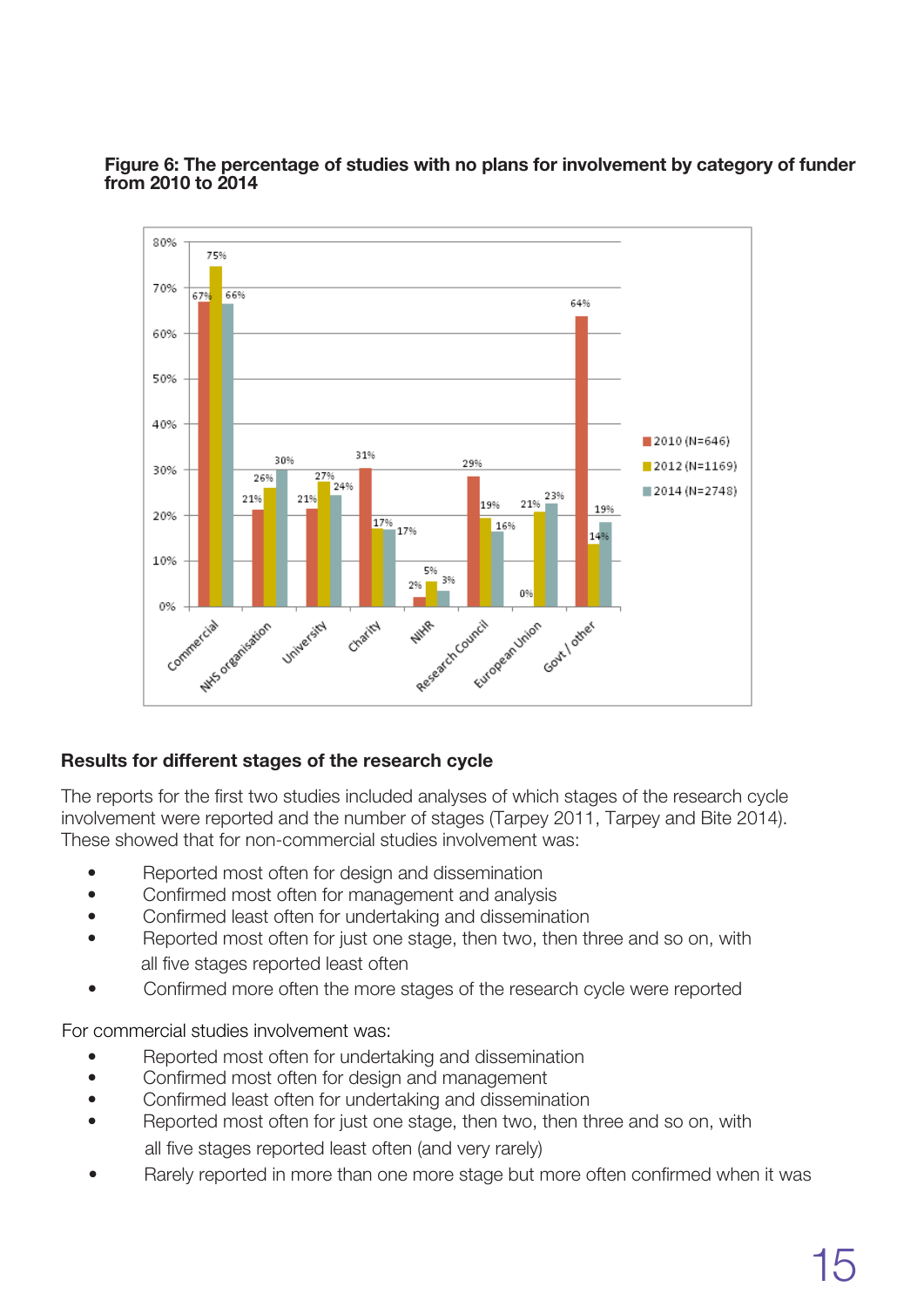

#### **Figure** 6: The percentage of studies with no plans for involvement by category of funder from 2010 to 2014

### Results for different stages of the research cycle

The reports for the first two studies included analyses of which stages of the research cycle involvement were reported and the number of stages (Tarpey 2011, Tarpey and Bite 2014). These showed that for non-commercial studies involvement was:

- Reported most often for design and dissemination
- Confirmed most often for management and analysis
- Confirmed least often for undertaking and dissemination
- Reported most often for just one stage, then two, then three and so on, with all five stages reported least often
- Confirmed more often the more stages of the research cycle were reported

For commercial studies involvement was:

- Reported most often for undertaking and dissemination
- Confirmed most often for design and management
- Confirmed least often for undertaking and dissemination
- Reported most often for just one stage, then two, then three and so on, with all five stages reported least often (and very rarely)
- Rarely reported in more than one more stage but more often confirmed when it was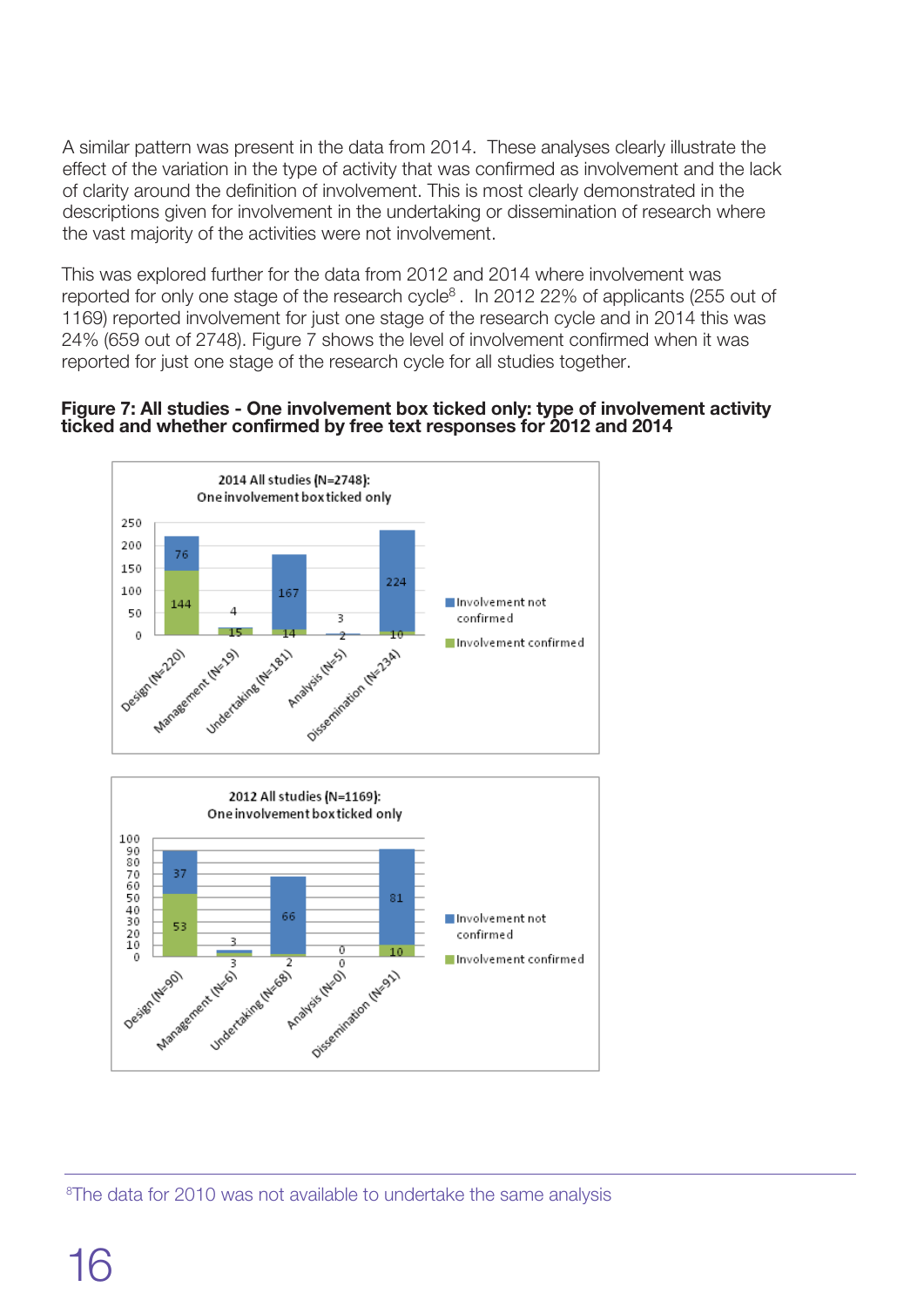A similar pattern was present in the data from 2014. These analyses clearly illustrate the effect of the variation in the type of activity that was confirmed as involvement and the lack of clarity around the definition of involvement. This is most clearly demonstrated in the descriptions given for involvement in the undertaking or dissemination of research where the vast majority of the activities were not involvement.

This was explored further for the data from 2012 and 2014 where involvement was reported for only one stage of the research cycle<sup>8</sup>. In 2012 22% of applicants (255 out of 1169) reported involvement for just one stage of the research cycle and in 2014 this was 24% (659 out of 2748). Figure 7 shows the level of involvement confirmed when it was reported for just one stage of the research cycle for all studies together.

#### **Figure** 7: All studies - One involvement box ticked only: type of involvement activity ticked and whether confirmed by free text responses for 2012 and 2014





<sup>8</sup>The data for 2010 was not available to undertake the same analysis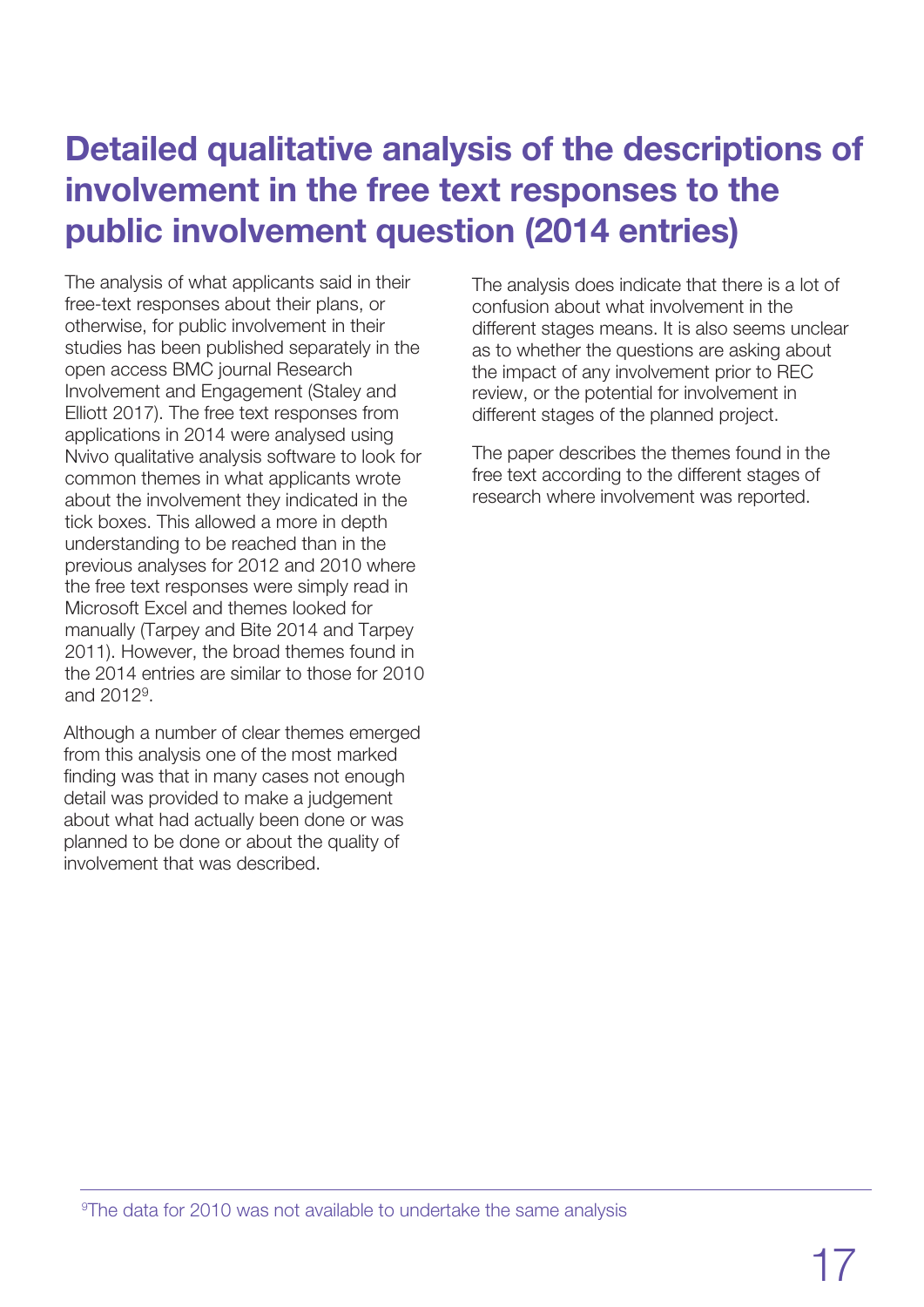## Detailed qualitative analysis of the descriptions of involvement in the free text responses to the public involvement question (2014 entries)

The analysis of what applicants said in their free-text responses about their plans, or otherwise, for public involvement in their studies has been published separately in the open access BMC journal Research Involvement and Engagement (Staley and Elliott 2017). The free text responses from applications in 2014 were analysed using Nvivo qualitative analysis software to look for common themes in what applicants wrote about the involvement they indicated in the tick boxes. This allowed a more in depth understanding to be reached than in the previous analyses for 2012 and 2010 where the free text responses were simply read in Microsoft Excel and themes looked for manually (Tarpey and Bite 2014 and Tarpey 2011). However, the broad themes found in the 2014 entries are similar to those for 2010 and 2012<sup>9</sup> .

Although a number of clear themes emerged from this analysis one of the most marked finding was that in many cases not enough detail was provided to make a judgement about what had actually been done or was planned to be done or about the quality of involvement that was described.

The analysis does indicate that there is a lot of confusion about what involvement in the different stages means. It is also seems unclear as to whether the questions are asking about the impact of any involvement prior to REC review, or the potential for involvement in different stages of the planned project.

The paper describes the themes found in the free text according to the different stages of research where involvement was reported.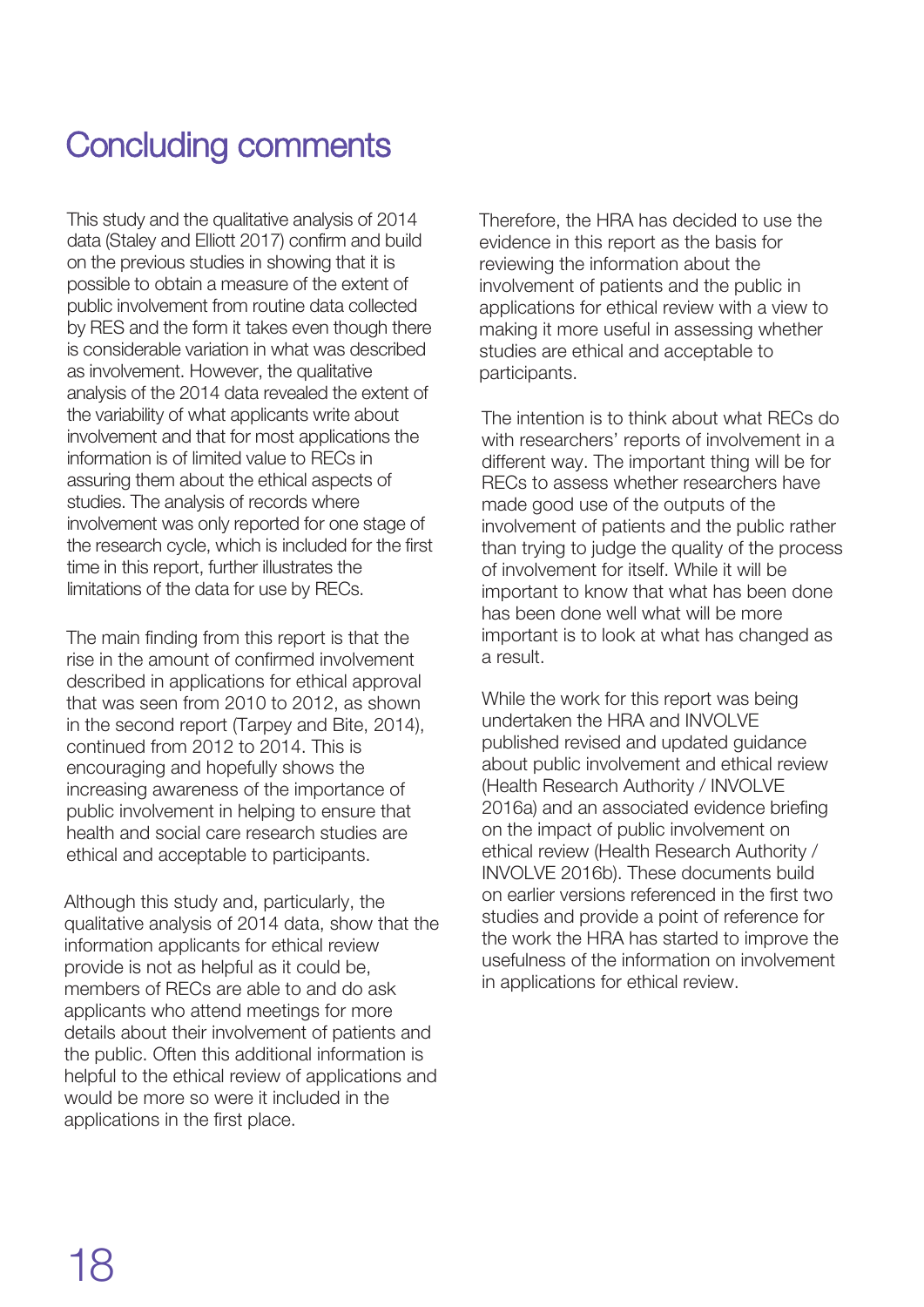## Concluding comments

This study and the qualitative analysis of 2014 data (Staley and Elliott 2017) confirm and build on the previous studies in showing that it is possible to obtain a measure of the extent of public involvement from routine data collected by RES and the form it takes even though there is considerable variation in what was described as involvement. However, the qualitative analysis of the 2014 data revealed the extent of the variability of what applicants write about involvement and that for most applications the information is of limited value to RECs in assuring them about the ethical aspects of studies. The analysis of records where involvement was only reported for one stage of the research cycle, which is included for the first time in this report, further illustrates the limitations of the data for use by RECs.

The main finding from this report is that the rise in the amount of confirmed involvement described in applications for ethical approval that was seen from 2010 to 2012, as shown in the second report (Tarpey and Bite, 2014), continued from 2012 to 2014. This is encouraging and hopefully shows the increasing awareness of the importance of public involvement in helping to ensure that health and social care research studies are ethical and acceptable to participants.

Although this study and, particularly, the qualitative analysis of 2014 data, show that the information applicants for ethical review provide is not as helpful as it could be, members of RECs are able to and do ask applicants who attend meetings for more details about their involvement of patients and the public. Often this additional information is helpful to the ethical review of applications and would be more so were it included in the applications in the first place.

Therefore, the HRA has decided to use the evidence in this report as the basis for reviewing the information about the involvement of patients and the public in applications for ethical review with a view to making it more useful in assessing whether studies are ethical and acceptable to participants.

The intention is to think about what RECs do with researchers' reports of involvement in a different way. The important thing will be for RECs to assess whether researchers have made good use of the outputs of the involvement of patients and the public rather than trying to judge the quality of the process of involvement for itself. While it will be important to know that what has been done has been done well what will be more important is to look at what has changed as a result.

While the work for this report was being undertaken the HRA and INVOLVE published revised and updated guidance about public involvement and ethical review (Health Research Authority / INVOLVE 2016a) and an associated evidence briefing on the impact of public involvement on ethical review (Health Research Authority / INVOLVE 2016b). These documents build on earlier versions referenced in the first two studies and provide a point of reference for the work the HRA has started to improve the usefulness of the information on involvement in applications for ethical review.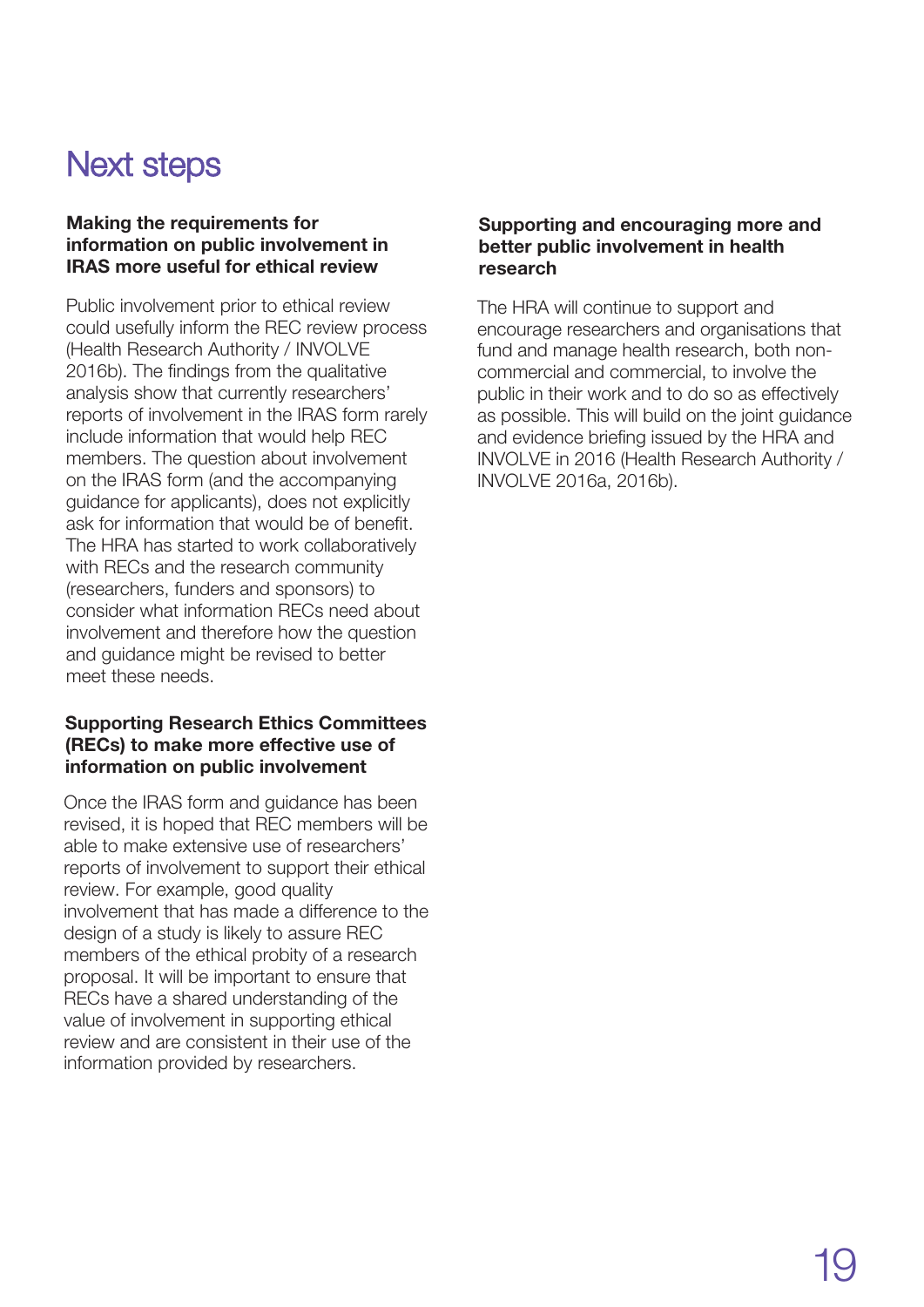## Next steps

#### Making the requirements for information on public involvement in IRAS more useful for ethical review

Public involvement prior to ethical review could usefully inform the REC review process (Health Research Authority / INVOLVE 2016b). The findings from the qualitative analysis show that currently researchers' reports of involvement in the IRAS form rarely include information that would help REC members. The question about involvement on the IRAS form (and the accompanying guidance for applicants), does not explicitly ask for information that would be of benefit. The HRA has started to work collaboratively with RECs and the research community (researchers, funders and sponsors) to consider what information RECs need about involvement and therefore how the question and guidance might be revised to better meet these needs.

### Supporting Research Ethics Committees (RECs) to make more effective use of information on public involvement

Once the IRAS form and guidance has been revised, it is hoped that REC members will be able to make extensive use of researchers' reports of involvement to support their ethical review. For example, good quality involvement that has made a difference to the design of a study is likely to assure REC members of the ethical probity of a research proposal. It will be important to ensure that RECs have a shared understanding of the value of involvement in supporting ethical review and are consistent in their use of the information provided by researchers.

#### Supporting and encouraging more and better public involvement in health research

The HRA will continue to support and encourage researchers and organisations that fund and manage health research, both noncommercial and commercial, to involve the public in their work and to do so as effectively as possible. This will build on the joint guidance and evidence briefing issued by the HRA and INVOLVE in 2016 (Health Research Authority / INVOLVE 2016a, 2016b).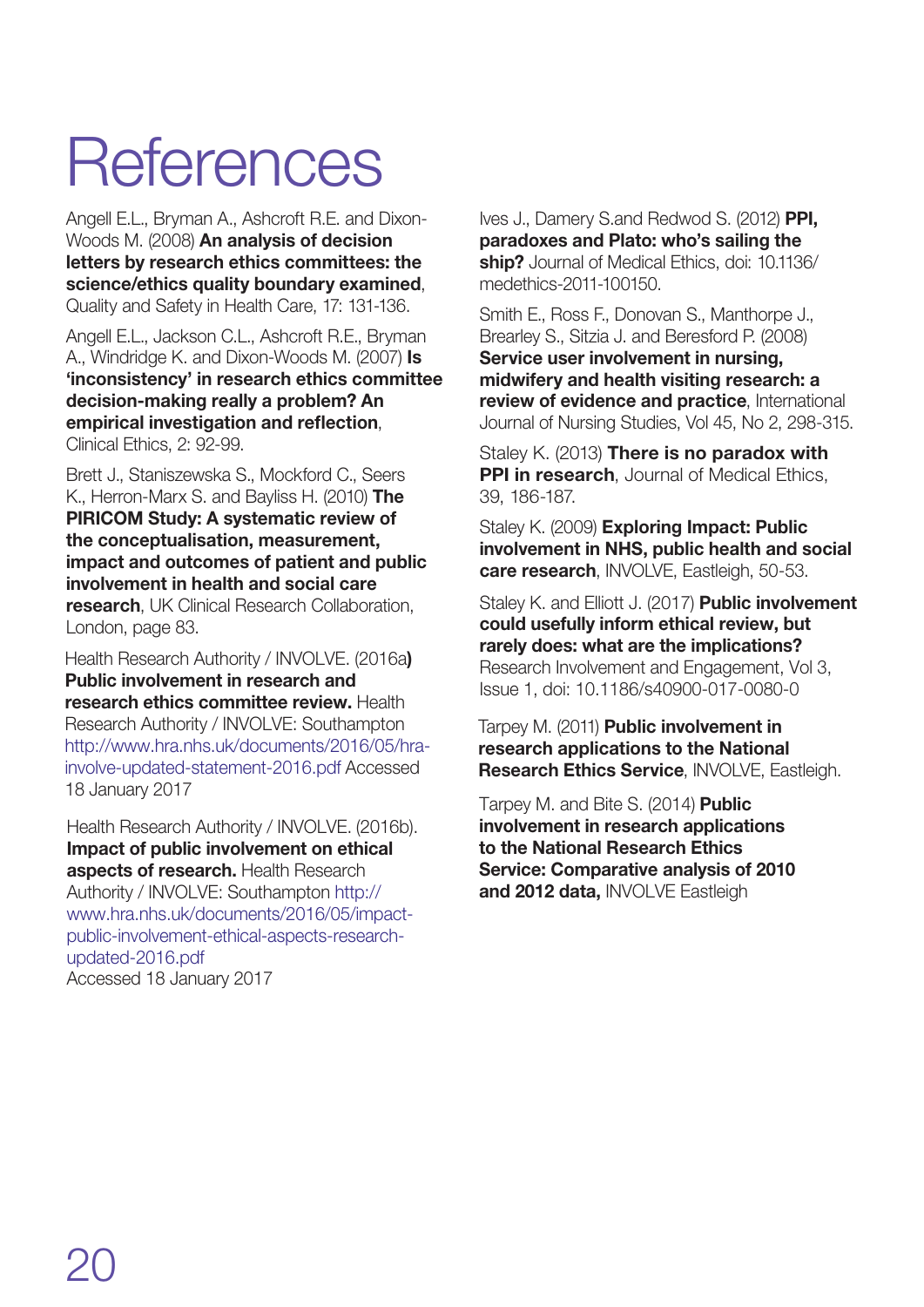## **References**

Angell E.L., Bryman A., Ashcroft R.E. and Dixon-Woods M. (2008) **An analysis of decision letters by research ethics committees: the science/ethics quality boundary examined**, Quality and Safety in Health Care, 17: 131-136.

Angell E.L., Jackson C.L., Ashcroft R.E., Bryman A., Windridge K. and Dixon-Woods M. (2007) **Is 'inconsistency' in research ethics committee decision-making really a problem? An empirical investigation and reflection**, Clinical Ethics, 2: 92-99.

Brett J., Staniszewska S., Mockford C., Seers K., Herron-Marx S. and Bayliss H. (2010) **The PIRICOM Study: A systematic review of the conceptualisation, measurement, impact and outcomes of patient and public involvement in health and social care research**, UK Clinical Research Collaboration, London, page 83.

Health Research Authority / INVOLVE. (2016a) Public involvement in research and research ethics committee review. Health Research Authority / INVOLVE: Southampton [http://www.hra.nhs.uk/documents/2016/05/hra](http://www.hra.nhs.uk/documents/2016/05/hra-involve-updated-statement-2016.pdf)involve-updated-statement-2016.pdf Accessed 18 January 2017

Health Research Authority / INVOLVE. (2016b). Impact of public involvement on ethical aspects of research. Health Research Authority / INVOLVE: Southampton http:// [www.hra.nhs.uk/documents/2016/05/impact](http://www.hra.nhs.uk/documents/2016/05/hra-involve-updated-statement-2016.pdf)public-involvement-ethical-aspects-researchupdated-2016.pdf Accessed 18 January 2017

Ives J., Damery S.and Redwod S. (2012) **PPI, paradoxes and Plato: who's sailing the ship?** Journal of Medical Ethics, doi: 10.1136/ medethics-2011-100150.

Smith E., Ross F., Donovan S., Manthorpe J., Brearley S., Sitzia J. and Beresford P. (2008) **Service user involvement in nursing, midwifery and health visiting research: a review of evidence and practice**, International Journal of Nursing Studies, Vol 45, No 2, 298-315.

Staley K. (2013) **There is no paradox with PPI in research**, Journal of Medical Ethics, 39, 186-187.

Staley K. (2009) **Exploring Impact: Public involvement in NHS, public health and social care research**, INVOLVE, Eastleigh, 50-53.

Staley K. and Elliott J. (2017) Public involvement could usefully inform ethical review, but rarely does: what are the implications? Research Involvement and Engagement, Vol 3, Issue 1, doi: 10.1186/s40900-017-0080-0

Tarpey M. (2011) **Public involvement in research applications to the National Research Ethics Service**, INVOLVE, Eastleigh.

Tarpey M. and Bite S. (2014) **Public** involvement in research applications to the National Research Ethics Service: Comparative analysis of 2010 and 2012 data, INVOLVE Eastleigh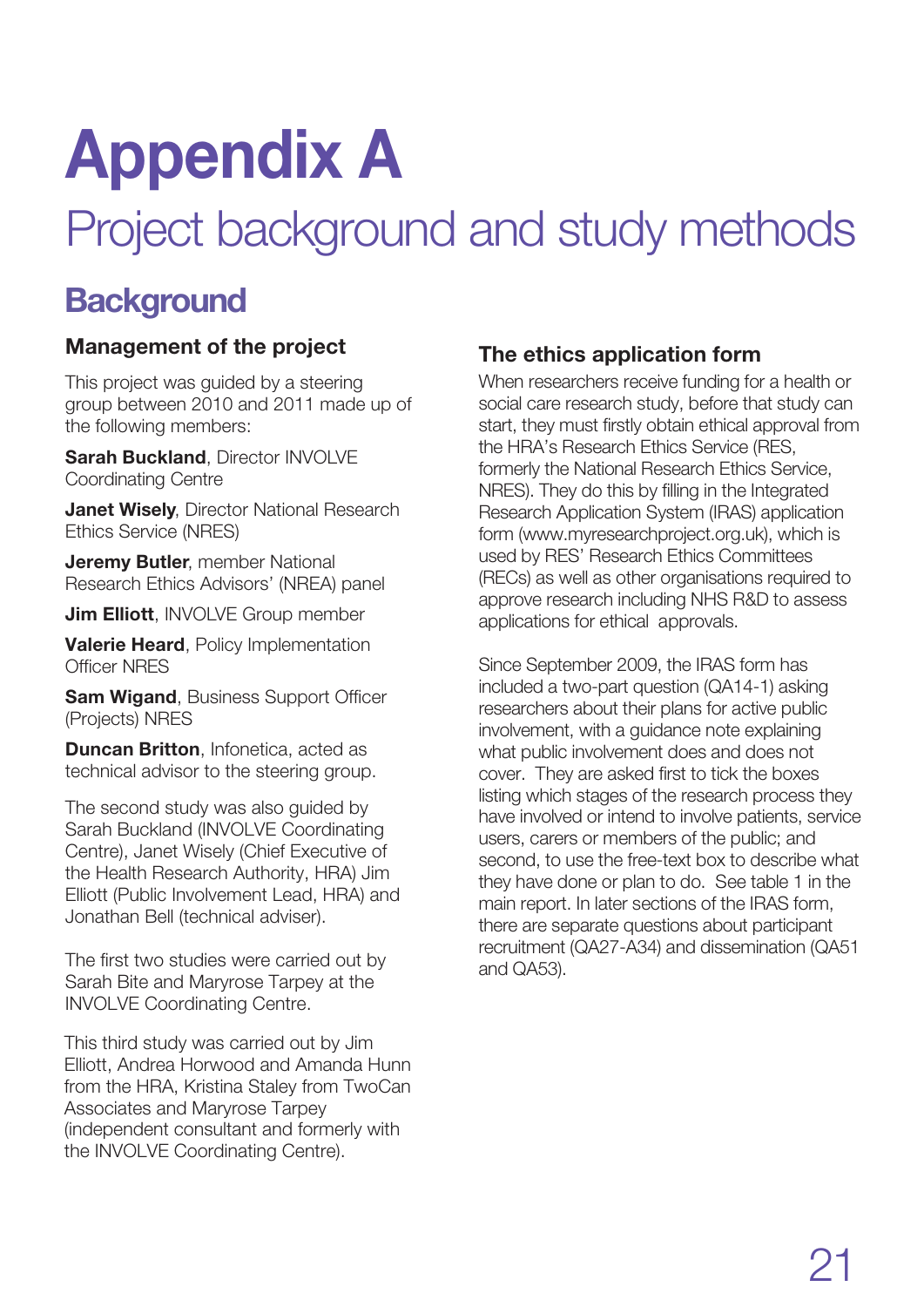# **Appendix A**

## Project background and study methods

## **Background**

## Management of the project

This project was guided by a steering group between 2010 and 2011 made up of the following members:

**Sarah Buckland**, Director INVOLVE Coordinating Centre

**Janet Wisely, Director National Research** Ethics Service (NRES)

**Jeremy Butler, member National** Research Ethics Advisors' (NREA) panel

**Jim Elliott**, INVOLVE Group member

**Valerie Heard**, Policy Implementation Officer NRES

**Sam Wigand, Business Support Officer** (Projects) NRES

**Duncan Britton**, Infonetica, acted as technical advisor to the steering group.

The second study was also guided by Sarah Buckland (INVOLVE Coordinating Centre), Janet Wisely (Chief Executive of the Health Research Authority, HRA) Jim Elliott (Public Involvement Lead, HRA) and Jonathan Bell (technical adviser).

The first two studies were carried out by Sarah Bite and Maryrose Tarpey at the INVOLVE Coordinating Centre.

This third study was carried out by Jim Elliott, Andrea Horwood and Amanda Hunn from the HRA, Kristina Staley from TwoCan Associates and Maryrose Tarpey (independent consultant and formerly with the INVOLVE Coordinating Centre).

## **The ethics application form**

When researchers receive funding for a health or social care research study, before that study can start, they must firstly obtain ethical approval from the HRA's Research Ethics Service (RES, formerly the National Research Ethics Service, NRES). They do this by filling in the Integrated Research Application System (IRAS) application form (www.myresearchproject.org.uk), which is used by RES' Research Ethics Committees (RECs) as well as other organisations required to approve research including NHS R&D to assess applications for ethical approvals.

Since September 2009, the IRAS form has included a two-part question (QA14-1) asking researchers about their plans for active public involvement, with a guidance note explaining what public involvement does and does not cover. They are asked first to tick the boxes listing which stages of the research process they have involved or intend to involve patients, service users, carers or members of the public; and second, to use the free-text box to describe what they have done or plan to do. See table 1 in the main report. In later sections of the IRAS form, there are separate questions about participant recruitment (QA27-A34) and dissemination (QA51 and QA53).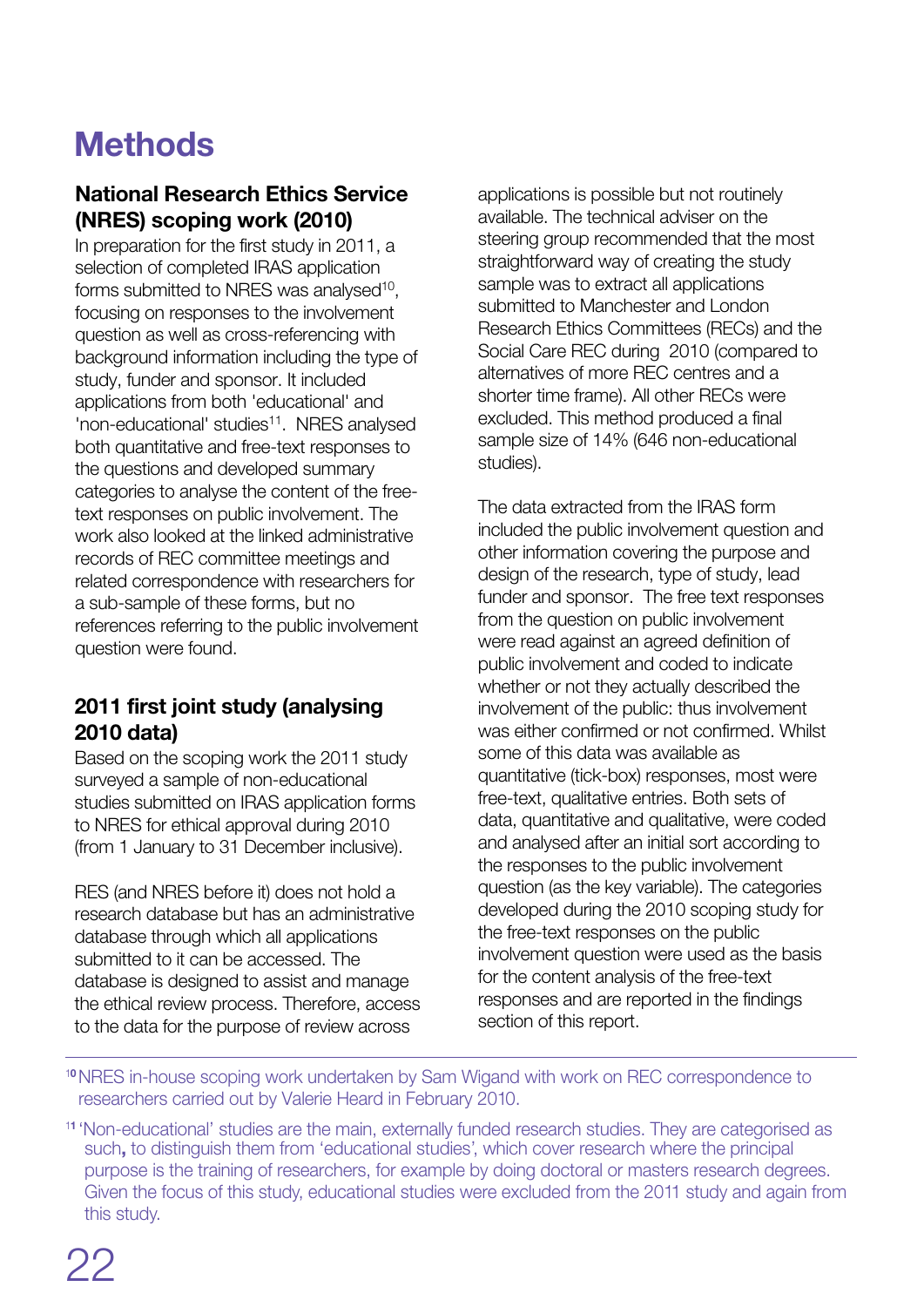## M**ethods**

## National Research Ethics Service (NRES) scoping work (2010)

In preparation for the first study in 2011, a selection of completed IRAS application forms submitted to NRES was analysed<sup>10</sup>, focusing on responses to the involvement question as well as cross-referencing with background information including the type of study, funder and sponsor. It included applications from both 'educational' and 'non-educational' studies<sup>11</sup>. NRES analysed both quantitative and free-text responses to the questions and developed summary categories to analyse the content of the freetext responses on public involvement. The work also looked at the linked administrative records of REC committee meetings and related correspondence with researchers for a sub-sample of these forms, but no references referring to the public involvement question were found.

### 2011 first joint study (analysing 2010 data)

Based on the scoping work the 2011 study surveyed a sample of non-educational studies submitted on IRAS application forms to NRES for ethical approval during 2010 (from 1 January to 31 December inclusive).

RES (and NRES before it) does not hold a research database but has an administrative database through which all applications submitted to it can be accessed. The database is designed to assist and manage the ethical review process. Therefore, access to the data for the purpose of review across

applications is possible but not routinely available. The technical adviser on the steering group recommended that the most straightforward way of creating the study sample was to extract all applications submitted to Manchester and London Research Ethics Committees (RECs) and the Social Care REC during 2010 (compared to alternatives of more REC centres and a shorter time frame). All other RECs were excluded. This method produced a final sample size of 14% (646 non-educational studies).

The data extracted from the IRAS form included the public involvement question and other information covering the purpose and design of the research, type of study, lead funder and sponsor. The free text responses from the question on public involvement were read against an agreed definition of public involvement and coded to indicate whether or not they actually described the involvement of the public: thus involvement was either confirmed or not confirmed. Whilst some of this data was available as quantitative (tick-box) responses, most were free-text, qualitative entries. Both sets of data, quantitative and qualitative, were coded and analysed after an initial sort according to the responses to the public involvement question (as the key variable). The categories developed during the 2010 scoping study for the free-text responses on the public involvement question were used as the basis for the content analysis of the free-text responses and are reported in the findings section of this report.

<sup>10</sup>NRES in-house scoping work undertaken by Sam Wigand with work on REC correspondence to researchers carried out by Valerie Heard in February 2010.

<sup>11</sup> 'Non-educational' studies are the main, externally funded research studies. They are categorised as such, to distinguish them from 'educational studies', which cover research where the principal purpose is the training of researchers, for example by doing doctoral or masters research degrees. Given the focus of this study, educational studies were excluded from the 2011 study and again from this study.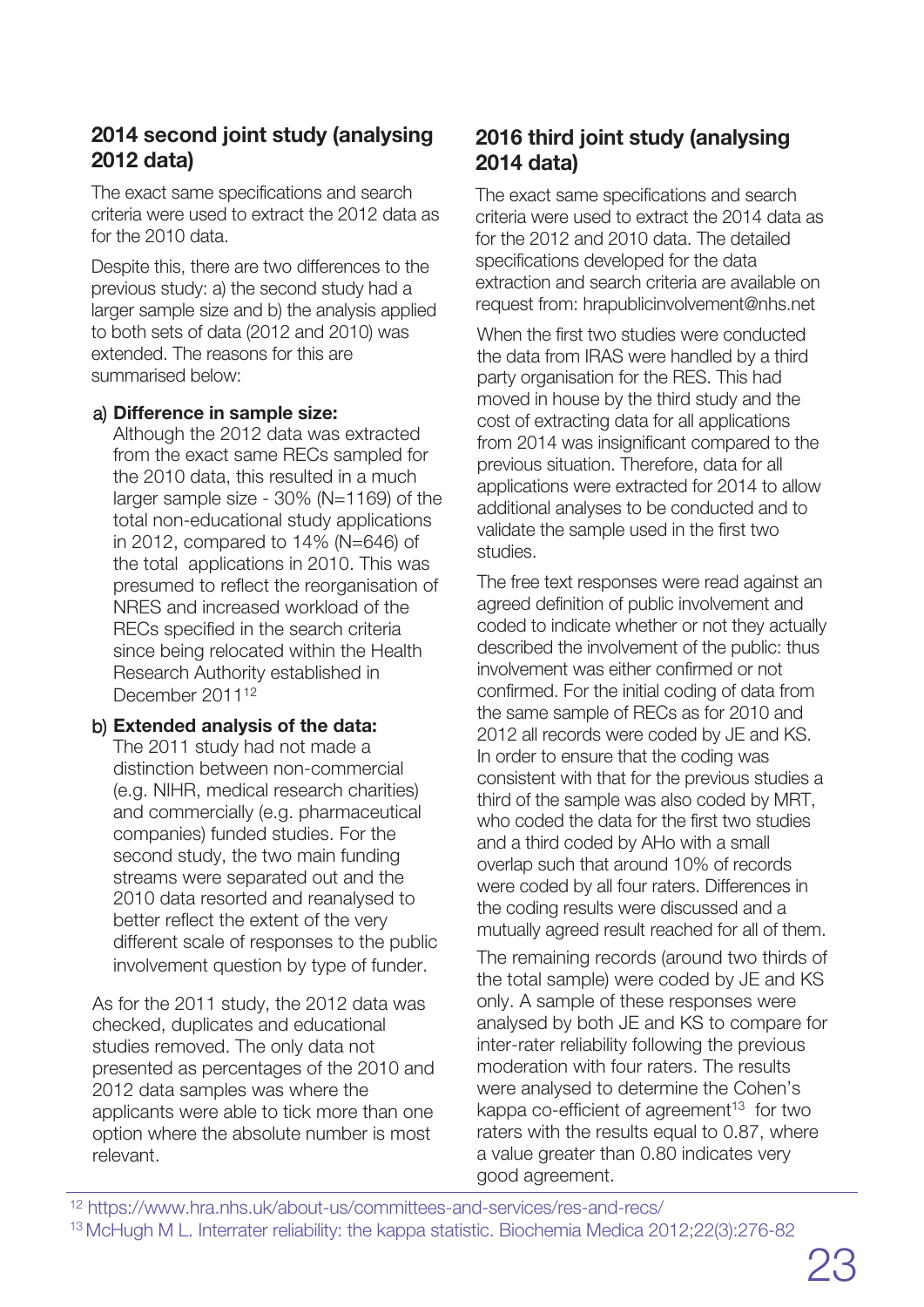## 2014 second joint study (analysing 2012 data)

The exact same specifications and search criteria were used to extract the 2012 data as for the 2010 data.

Despite this, there are two differences to the previous study: a) the second study had a larger sample size and b) the analysis applied to both sets of data (2012 and 2010) was extended. The reasons for this are summarised below:

#### a) **Difference in sample size:**

Although the 2012 data was extracted from the exact same RECs sampled for the 2010 data, this resulted in a much larger sample size - 30% (N=1169) of the total non-educational study applications in 2012, compared to 14% (N=646) of the total applications in 2010. This was presumed to reflect the reorganisation of NRES and increased workload of the RECs specified in the search criteria since being relocated within the Health Research Authority established in December 2011<sup>12</sup>

#### b) **Extended analysis of the data:**

The 2011 study had not made a distinction between non-commercial (e.g. NIHR, medical research charities) and commercially (e.g. pharmaceutical companies) funded studies. For the second study, the two main funding streams were separated out and the 2010 data resorted and reanalysed to better reflect the extent of the very different scale of responses to the public involvement question by type of funder.

As for the 2011 study, the 2012 data was checked, duplicates and educational studies removed. The only data not presented as percentages of the 2010 and 2012 data samples was where the applicants were able to tick more than one option where the absolute number is most relevant.

## 2016 third joint study (analysing 2014 data)

The exact same specifications and search criteria were used to extract the 2014 data as for the 2012 and 2010 data. The detailed specifications developed for the data extraction and search criteria are available on request from: hrapublicinvolvement@nhs.net

When the first two studies were conducted the data from IRAS were handled by a third party organisation for the RES. This had moved in house by the third study and the cost of extracting data for all applications from 2014 was insignificant compared to the previous situation. Therefore, data for all applications were extracted for 2014 to allow additional analyses to be conducted and to validate the sample used in the first two studies.

The free text responses were read against an agreed definition of public involvement and coded to indicate whether or not they actually described the involvement of the public: thus involvement was either confirmed or not confirmed. For the initial coding of data from the same sample of RECs as for 2010 and 2012 all records were coded by JE and KS. In order to ensure that the coding was consistent with that for the previous studies a third of the sample was also coded by MRT, who coded the data for the first two studies and a third coded by AHo with a small overlap such that around 10% of records were coded by all four raters. Differences in the coding results were discussed and a mutually agreed result reached for all of them.

The remaining records (around two thirds of the total sample) were coded by JE and KS only. A sample of these responses were analysed by both JE and KS to compare for inter-rater reliability following the previous moderation with four raters. The results were analysed to determine the Cohen's kappa co-efficient of agreement<sup>13</sup> for two raters with the results equal to 0.87, where a value greater than 0.80 indicates very good agreement.

- <sup>12</sup> https://www.hra.nhs.uk/about-us/committees-and-services/res-and-recs/
- <sup>13</sup> McHugh M L. Interrater reliability: the kappa statistic. Biochemia Medica 2012;22(3):276-82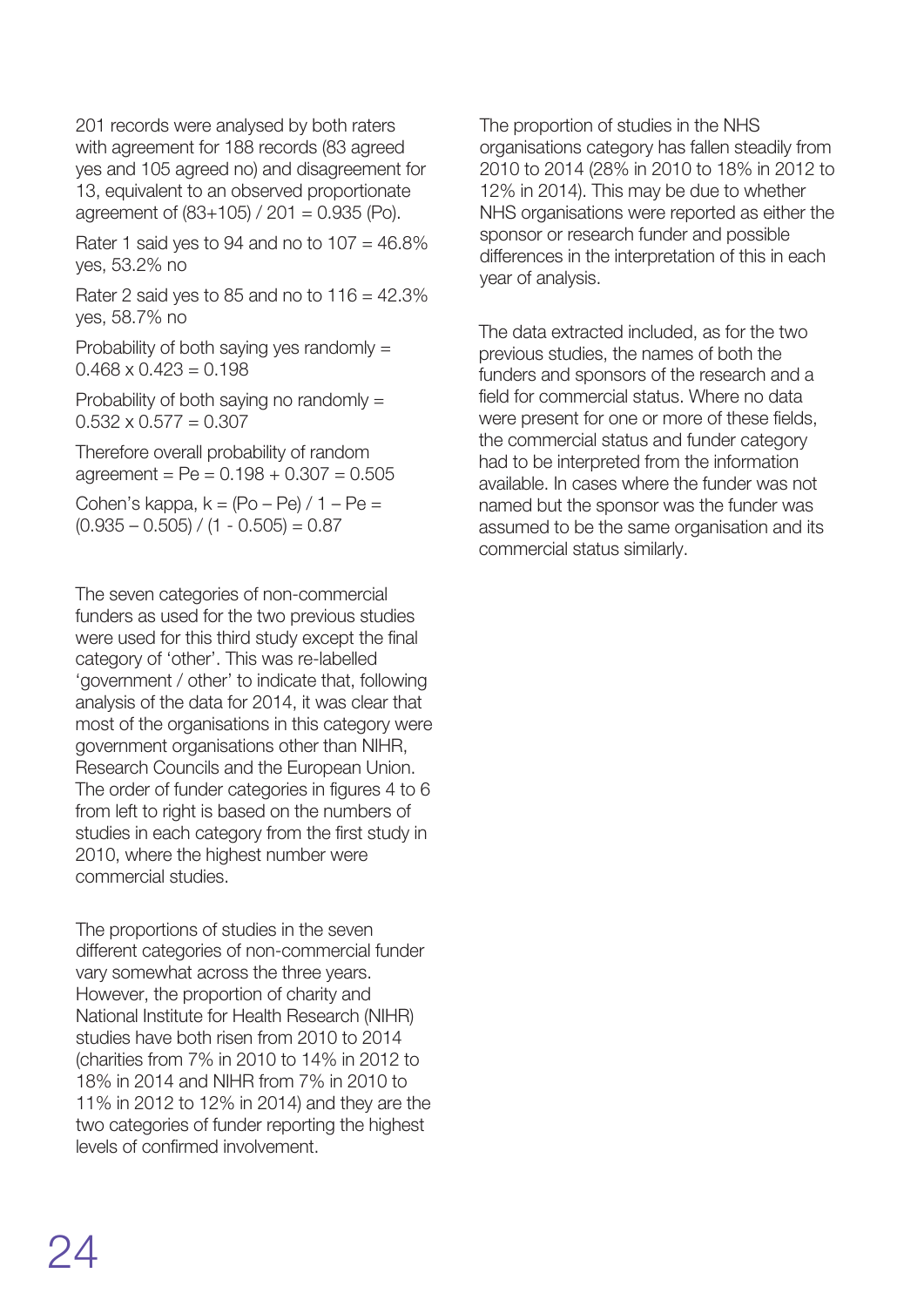201 records were analysed by both raters with agreement for 188 records (83 agreed yes and 105 agreed no) and disagreement for 13, equivalent to an observed proportionate agreement of  $(83+105) / 201 = 0.935$  (Po).

Rater 1 said yes to 94 and no to  $107 = 46.8\%$ yes, 53.2% no

Rater 2 said yes to 85 and no to  $116 = 42.3\%$ yes, 58.7% no

Probability of both saying yes randomly =  $0.468 \times 0.423 = 0.198$ 

Probability of both saying no randomly =  $0.532 \times 0.577 = 0.307$ 

Therefore overall probability of random  $a$ greement = Pe =  $0.198 + 0.307 = 0.505$ 

Cohen's kappa,  $k = (Po - Pe) / 1 - Pe =$  $(0.935 - 0.505) / (1 - 0.505) = 0.87$ 

The seven categories of non-commercial funders as used for the two previous studies were used for this third study except the final category of 'other'. This was re-labelled 'government / other' to indicate that, following analysis of the data for 2014, it was clear that most of the organisations in this category were government organisations other than NIHR, Research Councils and the European Union. The order of funder categories in figures 4 to 6 from left to right is based on the numbers of studies in each category from the first study in 2010, where the highest number were commercial studies.

The proportions of studies in the seven different categories of non-commercial funder vary somewhat across the three years. However, the proportion of charity and National Institute for Health Research (NIHR) studies have both risen from 2010 to 2014 (charities from 7% in 2010 to 14% in 2012 to 18% in 2014 and NIHR from 7% in 2010 to 11% in 2012 to 12% in 2014) and they are the two categories of funder reporting the highest levels of confirmed involvement.

The proportion of studies in the NHS organisations category has fallen steadily from 2010 to 2014 (28% in 2010 to 18% in 2012 to 12% in 2014). This may be due to whether NHS organisations were reported as either the sponsor or research funder and possible differences in the interpretation of this in each year of analysis.

The data extracted included, as for the two previous studies, the names of both the funders and sponsors of the research and a field for commercial status. Where no data were present for one or more of these fields, the commercial status and funder category had to be interpreted from the information available. In cases where the funder was not named but the sponsor was the funder was assumed to be the same organisation and its commercial status similarly.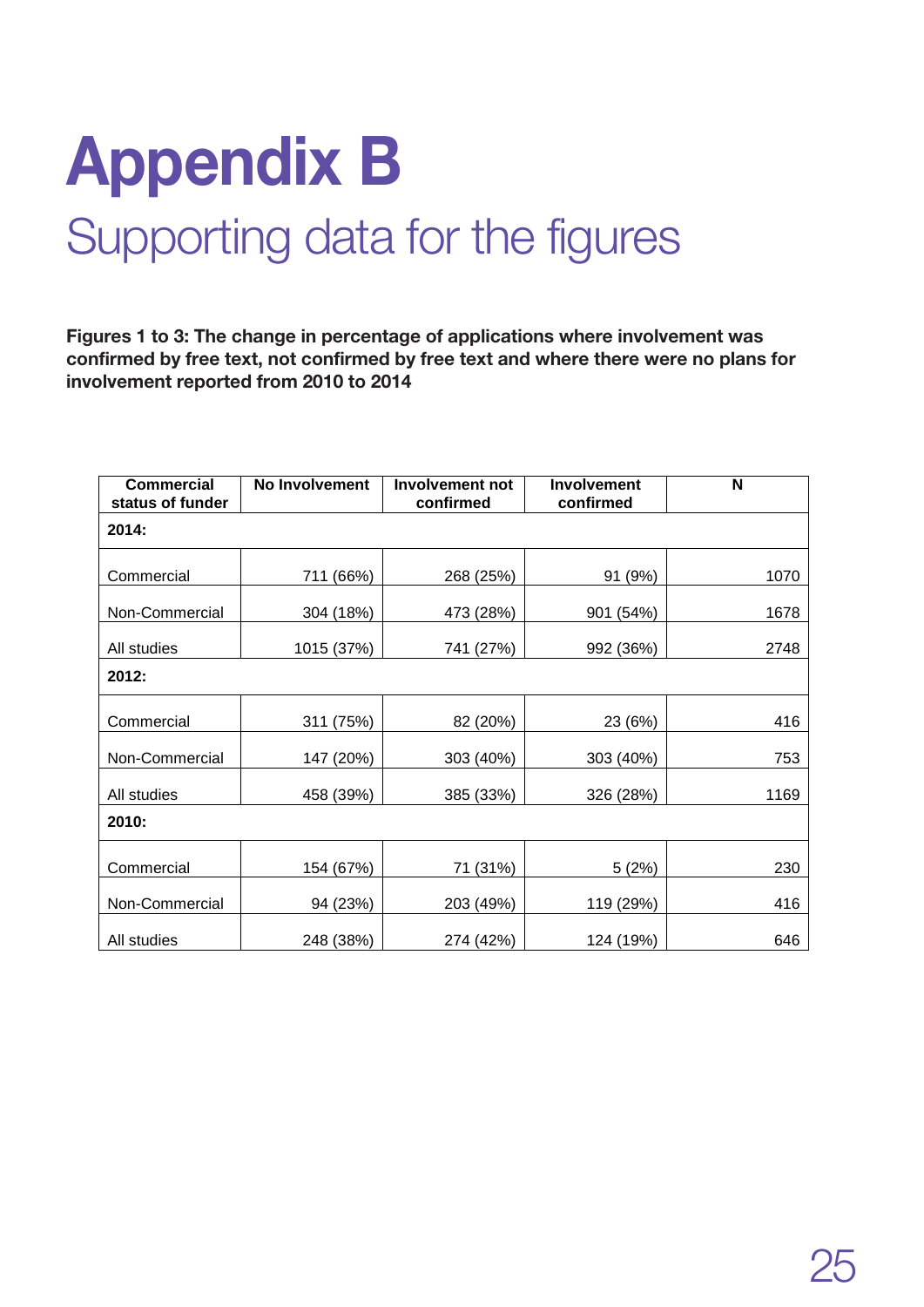## **Appendix B** Supporting data for the figures

Figures 1 to 3: The change in percentage of applications where involvement was confirmed by free text, not confirmed by free text and where there were no plans for involvement reported from 2010 to 2014

| <b>Commercial</b><br>status of funder | No Involvement | <b>Involvement not</b><br>confirmed | <b>Involvement</b><br>confirmed | N    |  |  |
|---------------------------------------|----------------|-------------------------------------|---------------------------------|------|--|--|
| 2014:                                 |                |                                     |                                 |      |  |  |
| Commercial                            | 711 (66%)      | 268 (25%)                           | 91 (9%)                         | 1070 |  |  |
| Non-Commercial                        | 304 (18%)      | 473 (28%)                           | 901 (54%)                       | 1678 |  |  |
| All studies                           | 1015 (37%)     | 741 (27%)                           | 992 (36%)                       | 2748 |  |  |
| 2012:                                 |                |                                     |                                 |      |  |  |
| Commercial                            | 311 (75%)      | 82 (20%)                            | 23 (6%)                         | 416  |  |  |
| Non-Commercial                        | 147 (20%)      | 303 (40%)                           | 303 (40%)                       | 753  |  |  |
| All studies                           | 458 (39%)      | 385 (33%)                           | 326 (28%)                       | 1169 |  |  |
| 2010:                                 |                |                                     |                                 |      |  |  |
| Commercial                            | 154 (67%)      | 71 (31%)                            | 5(2%)                           | 230  |  |  |
| Non-Commercial                        | 94 (23%)       | 203 (49%)                           | 119 (29%)                       | 416  |  |  |
| All studies                           | 248 (38%)      | 274 (42%)                           | 124 (19%)                       | 646  |  |  |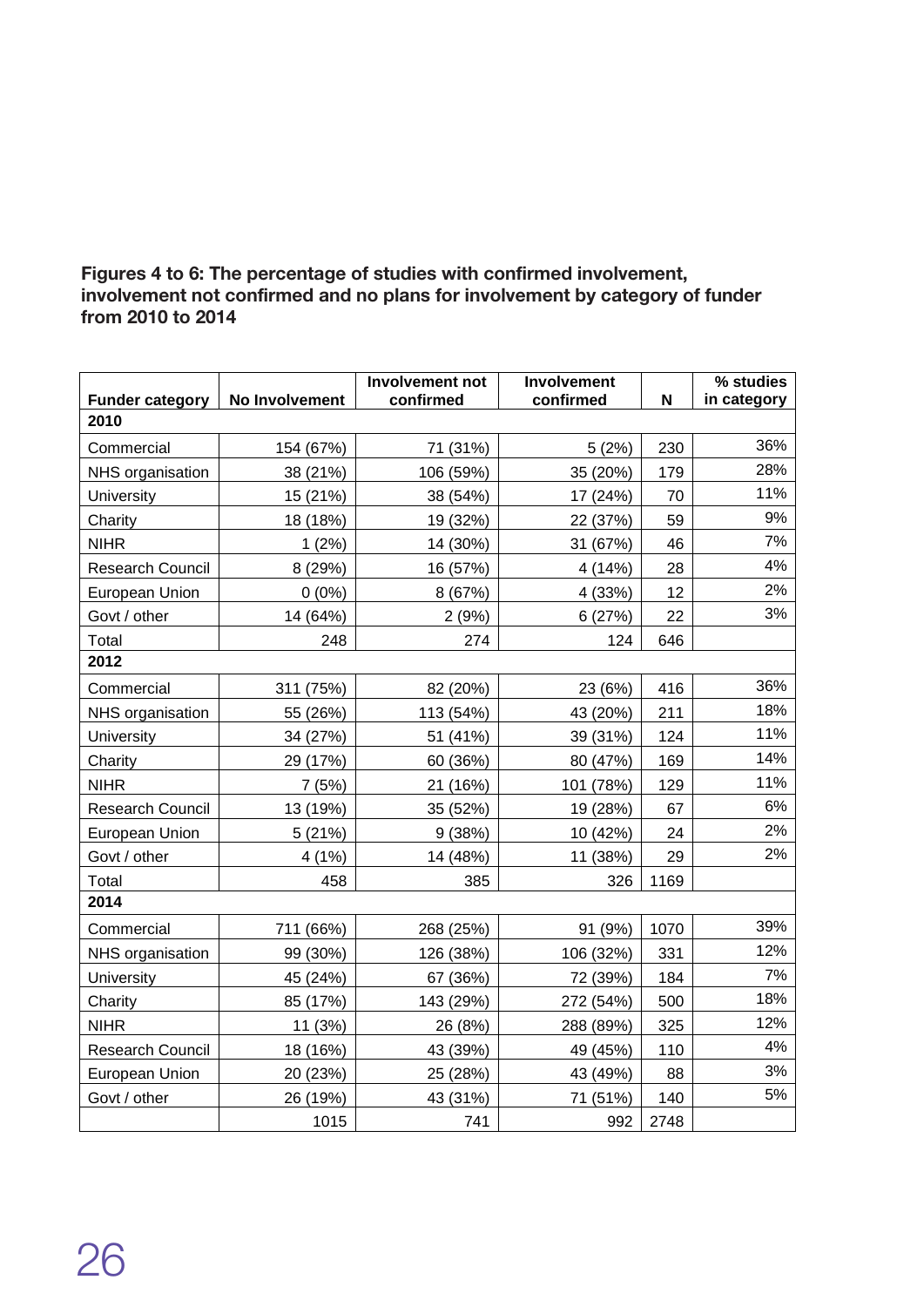#### Figures 4 to 6: The percentage of studies with confirmed involvement, involvement not confirmed and no plans for involvement by category of funder from 2010 to 2014

|                                | No Involvement | Involvement not<br>confirmed | Involvement<br>confirmed | N    | % studies   |
|--------------------------------|----------------|------------------------------|--------------------------|------|-------------|
| <b>Funder category</b><br>2010 |                |                              |                          |      | in category |
|                                |                |                              |                          |      |             |
| Commercial                     | 154 (67%)      | 71 (31%)                     | 5(2%)                    | 230  | 36%         |
| NHS organisation               | 38 (21%)       | 106 (59%)                    | 35 (20%)                 | 179  | 28%         |
| University                     | 15 (21%)       | 38 (54%)                     | 17 (24%)                 | 70   | 11%         |
| Charity                        | 18 (18%)       | 19 (32%)                     | 22 (37%)                 | 59   | 9%          |
| <b>NIHR</b>                    | 1(2%)          | 14 (30%)                     | 31 (67%)                 | 46   | 7%          |
| <b>Research Council</b>        | 8 (29%)        | 16 (57%)                     | 4 (14%)                  | 28   | 4%          |
| European Union                 | $0(0\%)$       | 8 (67%)                      | 4 (33%)                  | 12   | 2%          |
| Govt / other                   | 14 (64%)       | 2(9%)                        | 6(27%)                   | 22   | 3%          |
| Total                          | 248            | 274                          | 124                      | 646  |             |
| 2012                           |                |                              |                          |      |             |
| Commercial                     | 311 (75%)      | 82 (20%)                     | 23 (6%)                  | 416  | 36%         |
| NHS organisation               | 55 (26%)       | 113 (54%)                    | 43 (20%)                 | 211  | 18%         |
| University                     | 34 (27%)       | 51 (41%)                     | 39 (31%)                 | 124  | 11%         |
| Charity                        | 29 (17%)       | 60 (36%)                     | 80 (47%)                 | 169  | 14%         |
| <b>NIHR</b>                    | 7(5%)          | 21 (16%)                     | 101 (78%)                | 129  | 11%         |
| Research Council               | 13 (19%)       | 35 (52%)                     | 19 (28%)                 | 67   | 6%          |
| European Union                 | 5(21%)         | 9(38%)                       | 10 (42%)                 | 24   | 2%          |
| Govt / other                   | 4(1%)          | 14 (48%)                     | 11 (38%)                 | 29   | 2%          |
| Total                          | 458            | 385                          | 326                      | 1169 |             |
| 2014                           |                |                              |                          |      |             |
| Commercial                     | 711 (66%)      | 268 (25%)                    | 91 (9%)                  | 1070 | 39%         |
| NHS organisation               | 99 (30%)       | 126 (38%)                    | 106 (32%)                | 331  | 12%         |
| University                     | 45 (24%)       | 67 (36%)                     | 72 (39%)                 | 184  | 7%          |
| Charity                        | 85 (17%)       | 143 (29%)                    | 272 (54%)                | 500  | 18%         |
| <b>NIHR</b>                    | 11 (3%)        | 26 (8%)                      | 288 (89%)                | 325  | 12%         |
| Research Council               | 18 (16%)       | 43 (39%)                     | 49 (45%)                 | 110  | 4%          |
| European Union                 | 20 (23%)       | 25 (28%)                     | 43 (49%)                 | 88   | 3%          |
| Govt / other                   | 26 (19%)       | 43 (31%)                     | 71 (51%)                 | 140  | 5%          |
|                                | 1015           | 741                          | 992                      | 2748 |             |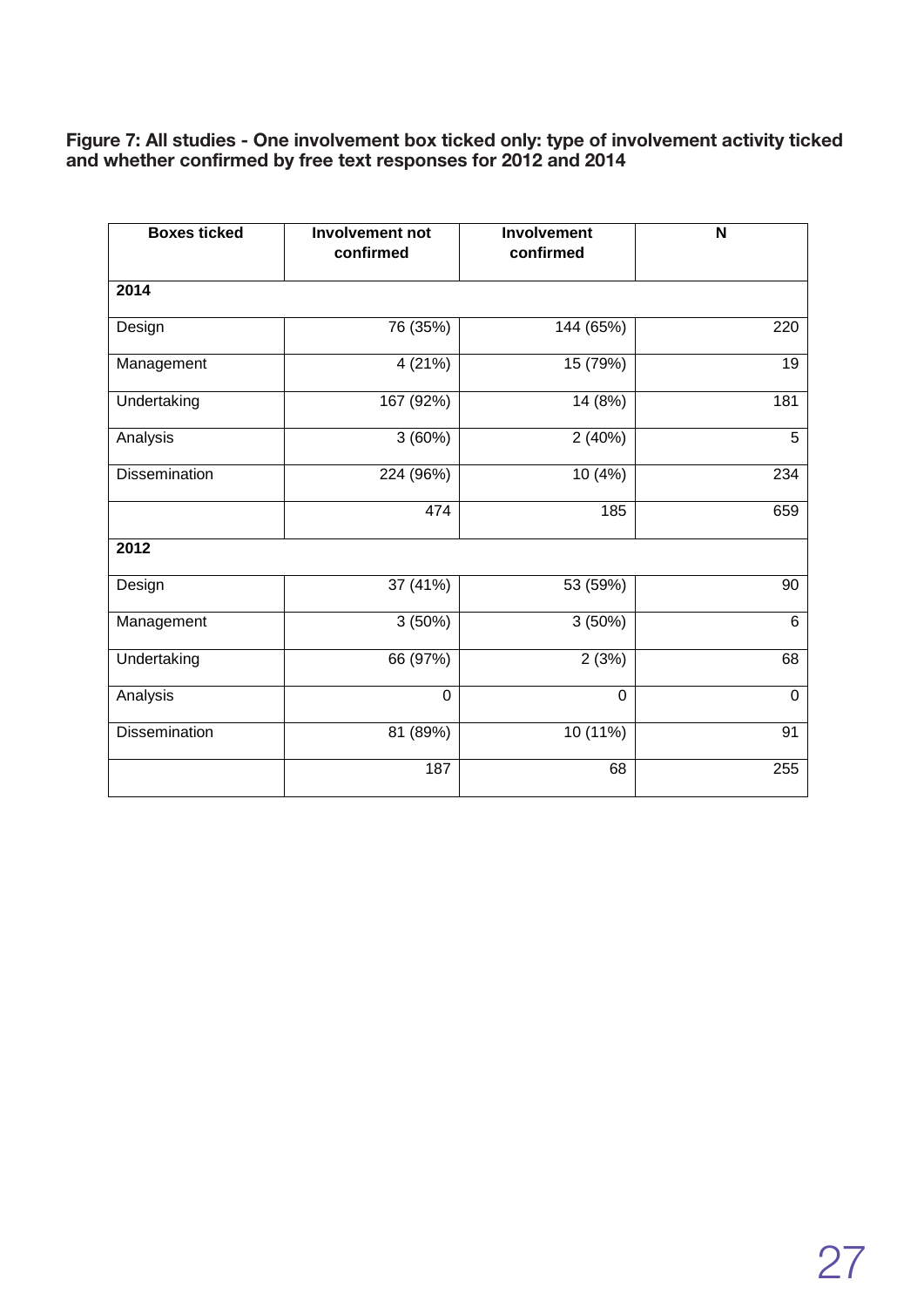#### **Figure** 7: All studies - One involvement box ticked only: type of involvement activity ticked and whether confirmed by free text responses for 2012 and 2014

| <b>Boxes ticked</b>  | <b>Involvement not</b><br>confirmed | Involvement<br>confirmed | $\overline{\mathsf{N}}$ |
|----------------------|-------------------------------------|--------------------------|-------------------------|
| 2014                 |                                     |                          |                         |
| Design               | 76 (35%)                            | 144 (65%)                | 220                     |
| Management           | $\overline{4}$ (21%)                | 15 (79%)                 | 19                      |
| Undertaking          | 167 (92%)                           | 14 (8%)                  | 181                     |
| Analysis             | 3(60%)                              | 2(40%)                   | 5                       |
| Dissemination        | 224 (96%)                           | 10 (4%)                  | 234                     |
|                      | 474                                 | 185                      | 659                     |
| 2012                 |                                     |                          |                         |
| Design               | 37 (41%)                            | 53 (59%)                 | 90                      |
| Management           | 3(50%)                              | 3(50%)                   | 6                       |
| Undertaking          | 66 (97%)                            | 2(3%)                    | 68                      |
| Analysis             | $\mathbf 0$                         | $\mathbf 0$              | $\boldsymbol{0}$        |
| <b>Dissemination</b> | 81 (89%)                            | 10 (11%)                 | 91                      |
|                      | 187                                 | 68                       | 255                     |